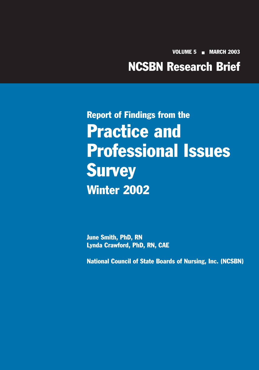VOLUME 5 ■ MARCH 2003 NCSBN Research Brief

Report of Findings from the Practice and Professional Issues **Survey** Winter 2002

June Smith, PhD, RN Lynda Crawford, PhD, RN, CAE

National Council of State Boards of Nursing, Inc. (NCSBN)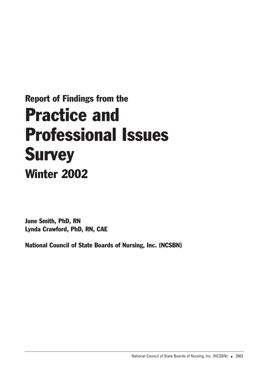# Report of Findings from the Practice and Professional Issues **Survey** Winter 2002

June Smith, PhD, RN Lynda Crawford, PhD, RN, CAE

National Council of State Boards of Nursing, Inc. (NCSBN)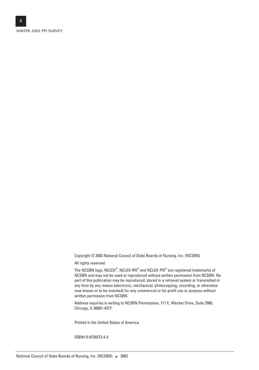ii

WINTER 2002 PPI SURVEY

Copyright © 2003 National Council of State Boards of Nursing, Inc. (NCSBN)

All rights reserved.

The NCSBN logo, NCLEX®, NCLEX-RN® and NCLEX-PN® are registered trademarks of NCSBN and may not be used or reproduced without written permission from NCSBN. No part of this publication may be reproduced, stored in a retrieval system or transmitted in any form by any means (electronic, mechanical, photocopying, recording, or otherwise now known or to be invented) for any commercial or for-profit use or purpose without written permission from NCSBN.

Address inquiries in writing to NCSBN Permissions, 111 E. Wacker Drive, Suite 2900, Chicago, IL 60601-4277.

Printed in the United States of America

ISBN# 0-9720273-4-3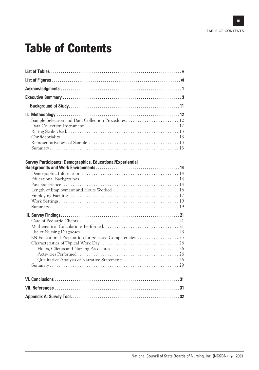iii

# Table of Contents

| Sample Selection and Data Collection Procedures 12 |  |
|----------------------------------------------------|--|
|                                                    |  |
|                                                    |  |
|                                                    |  |
|                                                    |  |
|                                                    |  |

# Survey Participants: Demographics, Educational/Experiential

| RN Educational Preparation for Selected Competencies  25 |  |
|----------------------------------------------------------|--|
|                                                          |  |
|                                                          |  |
|                                                          |  |
|                                                          |  |
|                                                          |  |
|                                                          |  |
|                                                          |  |
|                                                          |  |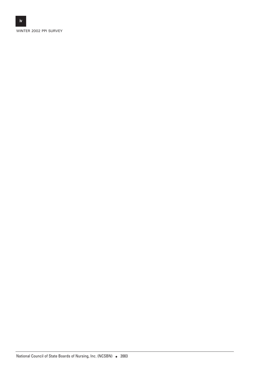WINTER 2002 PPI SURVEY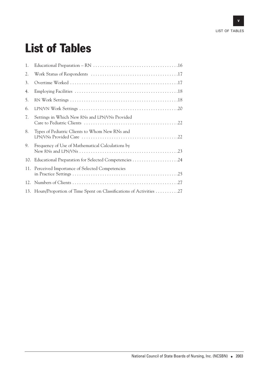v

# List of Tables

| 1.  | Educational Preparation – RN $\dots\dots\dots\dots\dots\dots\dots\dots\dots\dots\dots\dots\dots$ |
|-----|--------------------------------------------------------------------------------------------------|
| 2.  |                                                                                                  |
| 3.  |                                                                                                  |
| 4.  |                                                                                                  |
| 5.  |                                                                                                  |
| 6.  |                                                                                                  |
| 7.  | Settings in Which New RNs and LPN/VNs Provided                                                   |
| 8.  | Types of Pediatric Clients to Whom New RNs and                                                   |
| 9.  | Frequency of Use of Mathematical Calculations by                                                 |
| 10. |                                                                                                  |
| 11. | Perceived Importance of Selected Competencies                                                    |
| 12. |                                                                                                  |
|     | 13. Hours/Proportion of Time Spent on Classifications of Activities 27                           |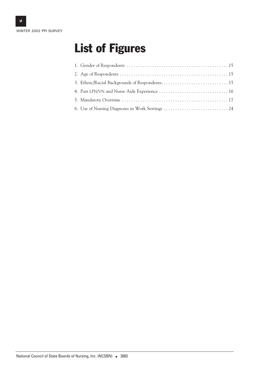vi

# List of Figures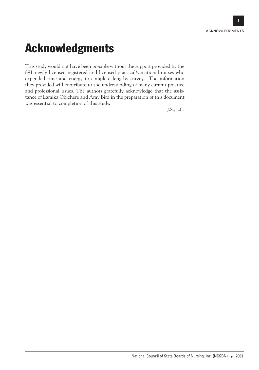# Acknowledgments

This study would not have been possible without the support provided by the 891 newly licensed registered and licensed practical/vocational nurses who expended time and energy to complete lengthy surveys. The information they provided will contribute to the understanding of many current practice and professional issues. The authors gratefully acknowledge that the assistance of Lamika Obichere and Amy Bird in the preparation of this document was essential to completion of this study.

J.S., L.C.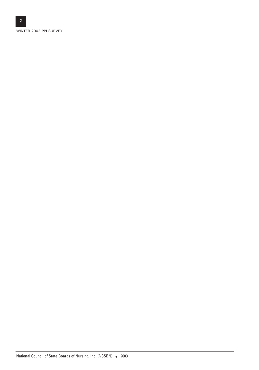WINTER 2002 PPI SURVEY

2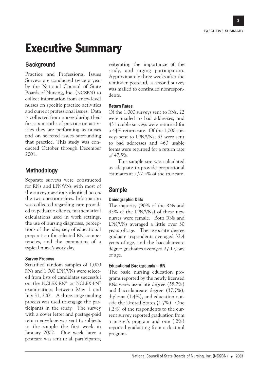# Executive Summary

# **Background**

Practice and Professional Issues Surveys are conducted twice a year by the National Council of State Boards of Nursing, Inc. (NCSBN) to collect information from entry-level nurses on specific practice activities and current professional issues. Data is collected from nurses during their first six months of practice on activities they are performing as nurses and on selected issues surrounding that practice. This study was conducted October through December 2001.

# **Methodology**

Separate surveys were constructed for RNs and LPN/VNs with most of the survey questions identical across the two questionnaires. Information was collected regarding care provided to pediatric clients, mathematical calculations used in work settings, the use of nursing diagnoses, perceptions of the adequacy of educational preparation for selected RN competencies, and the parameters of a typical nurse's work day.

#### Survey Process

Stratified random samples of 1,000 RNs and 1,000 LPN/VNs were selected from lists of candidates successful on the NCLEX-RN® or NCLEX-PN® examinations between May 1 and July 31, 2001. A three-stage mailing process was used to engage the participants in the study. The survey with a cover letter and postage-paid return envelope was sent to subjects in the sample the first week in January 2002. One week later a postcard was sent to all participants,

reiterating the importance of the study, and urging participation. Approximately three weeks after the reminder postcard, a second survey was mailed to continued nonrespondents.

#### Return Rates

Of the 1,000 surveys sent to RNs, 22 were mailed to bad addresses, and 431 usable surveys were returned for a 44% return rate. Of the 1,000 surveys sent to LPN/VNs, 33 were sent to bad addresses and 460 usable forms were returned for a return rate of 47.5%.

This sample size was calculated as adequate to provide proportional estimates at +/-2.5% of the true rate.

# Sample

#### Demographic Data

The majority (90% of the RNs and 93% of the LPN/VNs) of these new nurses were female. Both RNs and LPN/VNs averaged a little over 30 years of age. The associate degree graduate respondents averaged 32.4 years of age, and the baccalaureate degree graduates averaged 27.1 years of age.

#### Educational Backgrounds – RN

The basic nursing education programs reported by the newly licensed RNs were: associate degree (58.7%) and baccalaureate degree (37.7%), diploma (1.4%), and education outside the United States (1.7%). One (.2%) of the respondents to the current survey reported graduation from a master's program and one (.2%) reported graduating from a doctoral program.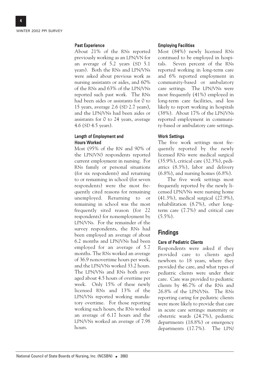### Past Experience

About 21% of the RNs reported previously working as an LPN/VN for an average of 5.2 years (SD 5.1 years). Both the RNs and LPN/VNs were asked about previous work as nursing assistants or aides, and 60% of the RNs and 63% of the LPN/VNs reported such past work. The RNs had been aides or assistants for 0 to 15 years, average 2.6 (SD 2.7 years), and the LPN/VNs had been aides or assistants for 0 to 24 years, average 4.6 (SD 4.5 years).

### Length of Employment and Hours Worked

Most (95% of the RN and 90% of the LPN/VN) respondents reported current employment in nursing. For RNs family or personal situations (for six respondents) and returning to or remaining in school (for seven respondents) were the most frequently cited reasons for remaining unemployed. Returning to or remaining in school was the most frequently sited reason (for 22 respondents) for nonemployment by LPN/VNs. For the remainder of the survey respondents, the RNs had been employed an average of about 6.2 months and LPN/VNs had been employed for an average of 5.7 months. The RNs worked an average of 36.9 nonovertime hours per week, and the LPN/VNs worked 33.2 hours. The LPN/VNs and RNs both averaged about 4.5 hours of overtime per week. Only 15% of these newly licensed RNs and 13% of the LPN/VNs reported working mandatory overtime. For those reporting working such hours, the RNs worked an average of 6.17 hours and the LPN/VNs worked an average of 7.98 hours.

### Employing Facilities

Most (84%) newly licensed RNs continued to be employed in hospitals. Seven percent of the RNs reported working in long-term care and 6% reported employment in community-based or ambulatory care settings. The LPN/VNs were most frequently (41%) employed in long-term care facilities, and less likely to report working in hospitals (38%). About 17% of the LPN/VNs reported employment in community-based or ambulatory care settings.

#### Work Settings

The five work settings most frequently reported by the newly licensed RNs were medical surgical (35.9%), critical care (32.3%), pediatrics (8.3%), labor and delivery (6.8%), and nursing homes (6.8%).

The five work settings most frequently reported by the newly licensed LPN/VNs were nursing home (41.3%), medical surgical (27.9%), rehabilitation (8.7%), other longterm care (7.7%) and critical care  $(5.5\%)$ .

# **Findings**

### Care of Pediatric Clients

Respondents were asked if they provided care to clients aged newborn to 18 years, where they provided the care, and what types of pediatric clients were under their care. Care was provided to pediatric clients by 46.7% of the RNs and 26.8% of the LPN/VNs. The RNs reporting caring for pediatric clients were more likely to provide that care in acute care settings: maternity or obstetric wards (24.7%), pediatric departments (18.8%) or emergency departments (17.7%). The LPN/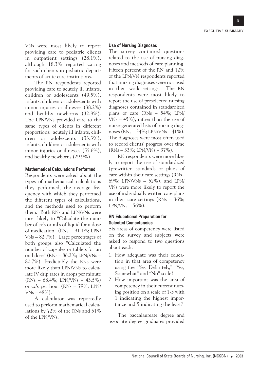VNs were most likely to report providing care to pediatric clients in outpatient settings (28.1%), although 18.3% reported caring for such clients in pediatric departments of acute care institutions.

The RN respondents reported providing care to acutely ill infants, children or adolescents (49.5%), infants, children or adolescents with minor injuries or illnesses (38.2%) and healthy newborns (32.8%). The LPN/VNs provided care to the same types of clients in different proportions: acutely ill infants, children or adolescents (33.3%), infants, children or adolescents with minor injuries or illnesses (55.6%), and healthy newborns (29.9%).

#### Mathematical Calculations Performed

Respondents were asked about the types of mathematical calculations they performed, the average frequency with which they performed the different types of calculations, and the methods used to perform them. Both RNs and LPN/VNs were most likely to "Calculate the number of cc's or ml's of liquid for a dose of medication" (RNs – 91.1%; LPN/ VNs – 82.7%). Large percentages of both groups also "Calculated the number of capsules or tablets for an oral dose" (RNs – 86.2%; LPN/VNs – 80.7%). Predictably the RNs were more likely than LPN/VNs to calculate IV drip rates in drops per minute (RNs – 68.4%; LPN/VNs – 43.5%) or cc's per hour (RNs – 79%; LPN/  $VNs - 48%$ ).

A calculator was reportedly used to perform mathematical calculations by 72% of the RNs and 51% of the LPN/VNs.

#### Use of Nursing Diagnoses

The survey contained questions related to the use of nursing diagnoses and methods of care planning. Fifteen percent of the RN and 12% of the LPN/VN respondents reported that nursing diagnoses were not used in their work settings. The RN respondents were most likely to report the use of preselected nursing diagnoses contained in standardized plans of care (RNs – 54%; LPN/ VNs – 45%), rather than the use of nurse-generated lists of nursing diagnoses (RNs – 34%; LPN/VNs – 41%). The diagnoses were most often used to record clients' progress over time (RNs – 33%; LPN/VNs – 37%).

RN respondents were more likely to report the use of standardized (prewritten standards or plans of care within their care settings (RNs– 69%; LPN/VNs – 52%), and LPN/ VNs were more likely to report the use of individually written care plans in their care settings (RNs – 36%;  $LPN/VNs - 56\%$ ).

### RN Educational Preparation for Selected Competencies

Six areas of competency were listed on the survey and subjects were asked to respond to two questions about each:

- 1. How adequate was their education in that area of competency using the "Yes, Definitely," "Yes, Somewhat" and "No" scale?
- 2. How important was the area of competency in their current nursing position on a scale of 1-5 with 1 indicating the highest importance and 5 indicating the least?

The baccalaureate degree and associate degree graduates provided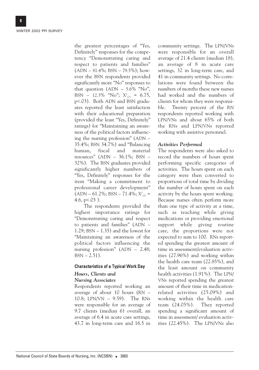the greatest percentages of "Yes, Definitely" responses for the competency "Demonstrating caring and respect to patients and families"  $(ADN - 81.4\%; BSN - 79.5\%); how$ ever the BSN respondents provided significantly more "No" responses to that question  $(ADN - 5.6\%$  "No", BSN – 12.3% "No";  $X^2_{(2)} = 6.75$ , p<.03). Both ADN and BSN graduates reported the least satisfaction with their educational preparation (provided the least "Yes, Definitely" ratings) for "Maintaining an awareness of the political factors influencing the nursing profession" (ADN – 35.4%; BSN 34.7%) and "Balancing human, fiscal and material resources" (ADN – 36.1%; BSN – 32%). The BSN graduates provided significantly higher numbers of "Yes, Definitely" responses for the item "Making a commitment to professional career development"  $(ADN - 61.2\%; BSN - 71.4\%; X_{(2)}^2 =$ 4.6,  $p < .03$ ).

The respondents provided the highest importance ratings for "Demonstrating caring and respect to patients and families" (ADN – 1.29; BSN – 1.35) and the lowest for "Maintaining an awareness of the political factors influencing the nursing profession" (ADN – 2.48;  $BSN - 2.51$ ).

#### Characteristics of a Typical Work Day

## *Hours, Clients and*

#### *Nursing Associates*

Respondents reported working an average of about 10 hours (RN – 10.8; LPN/VN – 9.59). The RNs were responsible for an average of 9.7 clients (median 6) overall, an average of 6.4 in acute care settings, 43.7 in long-term care and 16.5 in

community settings. The LPN/VNs were responsible for an overall average of 21.4 clients (median 18), an average of 8 in acute care settings, 32 in long-term care, and 41 in community settings. No correlations were found between the numbers of months these new nurses had worked and the numbers of clients for whom they were responsible. Twenty percent of the RN respondents reported working with LPN/VNs and about 65% of both the RNs and LPN/VNs reported working with assistive personnel.

### *Activities Performed*

The respondents were also asked to record the numbers of hours spent performing specific categories of activities. The hours spent on each category were then converted to proportions of total time by dividing the number of hours spent on each activity by the hours spent working. Because nurses often perform more than one type of activity at a time, such as teaching while giving medications or providing emotional support while giving routine care, the proportions were not expected to sum to 100. RNs reported spending the greatest amount of time in assessment/evaluation activities (27.96%) and working within the health care team (22.85%), and the least amount on community health activities (1.91%). The LPN/ VNs reported spending the greatest amount of their time in medicationrelated activities (25.09%) and working within the health care team (24.05%). They reported spending a significant amount of time in assessment/ evaluation activities (22.45%). The LPN/VNs also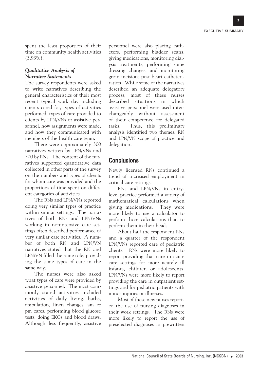spent the least proportion of their time on community health activities (3.93%).

### *Qualitative Analysis of Narrative Statements*

The survey respondents were asked to write narratives describing the general characteristics of their most recent typical work day including clients cared for, types of activities performed, types of care provided to clients by LPN/VNs or assistive personnel, how assignments were made, and how they communicated with members of the health care team.

There were approximately 300 narratives written by LPN/VNs and 300 by RNs. The content of the narratives supported quantitative data collected in other parts of the survey on the numbers and types of clients for whom care was provided and the proportions of time spent on different categories of activities.

The RNs and LPN/VNs reported doing very similar types of practice within similar settings. The narratives of both RNs and LPN/VNs working in nonintensive care settings often described performance of very similar care activities. A number of both RN and LPN/VN narratives stated that the RN and LPN/VN filled the same role, providing the same types of care in the same ways.

The nurses were also asked what types of care were provided by assistive personnel. The most commonly stated activities included activities of daily living, baths, ambulation, linen changes, am or pm cares, performing blood glucose tests, doing EKGs and blood draws. Although less frequently, assistive

personnel were also placing catheters, performing bladder scans, giving medications, monitoring dialysis treatments, performing some dressing changes, and monitoring groin incisions post heart catheterization. While some of the narratives described an adequate delegatory process, most of these nurses described situations in which assistive personnel were used interchangeably without assessment of their competence for delegated tasks. Thus, this preliminary analysis identified two themes: RN and LPN/VN scope of practice and delegation.

## **Conclusions**

Newly licensed RNs continued a trend of increased employment in critical care settings.

RNs and LPN/VNs in entrylevel practice performed a variety of mathematical calculations when giving medications. They were more likely to use a calculator to perform those calculations than to perform them in their heads.

About half the respondent RNs and a quarter of the respondent LPN/VNs reported care of pediatric clients. RNs were more likely to report providing that care in acute care settings for more acutely ill infants, children or adolescents. LPN/VNs were more likely to report providing the care in outpatient settings and for pediatric patients with minor injuries or illnesses.

Most of these new nurses reported the use of nursing diagnoses in their work settings. The RNs were more likely to report the use of preselected diagnoses in prewritten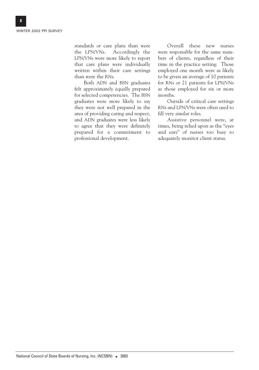standards or care plans than were the LPN/VNs. Accordingly the LPN/VNs were more likely to report that care plans were individually written within their care settings than were the RNs.

Both ADN and BSN graduates felt approximately equally prepared for selected competencies. The BSN graduates were more likely to say they were not well prepared in the area of providing caring and respect, and ADN graduates were less likely to agree that they were definitely prepared for a commitment to professional development.

Overall these new nurses were responsible for the same numbers of clients, regardless of their time in the practice setting. Those employed one month were as likely to be given an average of 10 patients for RNs or 21 patients for LPN/VNs as those employed for six or more months.

Outside of critical care settings RNs and LPN/VNs were often used to fill very similar roles.

Assistive personnel were, at times, being relied upon as the "eyes and ears" of nurses too busy to adequately monitor client status.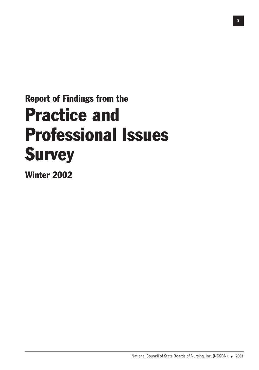# Report of Findings from the Practice and Professional Issues **Survey**

Winter 2002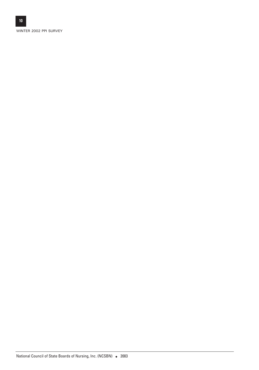WINTER 2002 PPI SURVEY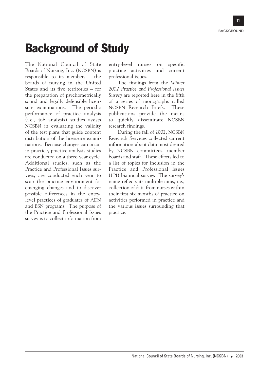# Background of Study

The National Council of State Boards of Nursing, Inc. (NCSBN) is responsible to its members – the boards of nursing in the United States and its five territories – for the preparation of psychometrically sound and legally defensible licensure examinations. The periodic performance of practice analysis (i.e., job analysis) studies assists NCSBN in evaluating the validity of the test plans that guide content distribution of the licensure examinations. Because changes can occur in practice, practice analysis studies are conducted on a three-year cycle. Additional studies, such as the Practice and Professional Issues surveys, are conducted each year to scan the practice environment for emerging changes and to discover possible differences in the entrylevel practices of graduates of ADN and BSN programs. The purpose of the Practice and Professional Issues survey is to collect information from

entry-level nurses on specific practice activities and current professional issues.

The findings from the *Winter 2002 Practice and Professional Issues Survey* are reported here in the fifth of a series of monographs called NCSBN Research Briefs. These publications provide the means to quickly disseminate NCSBN research findings.

During the fall of 2002, NCSBN Research Services collected current information about data most desired by NCSBN committees, member boards and staff. These efforts led to a list of topics for inclusion in the Practice and Professional Issues (PPI) biannual survey. The survey's name reflects its multiple aims, i.e., collection of data from nurses within their first six months of practice on activities performed in practice and the various issues surrounding that practice.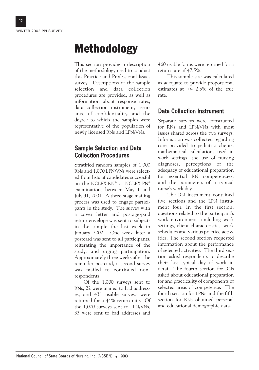# Methodology

This section provides a description of the methodology used to conduct this Practice and Professional Issues survey. Descriptions of the sample selection and data collection procedures are provided, as well as information about response rates, data collection instrument, assurance of confidentiality, and the degree to which the samples were representative of the population of newly licensed RNs and LPN/VNs.

# Sample Selection and Data Collection Procedures

Stratified random samples of 1,000 RNs and 1,000 LPN/VNs were selected from lists of candidates successful on the NCLEX-RN® or NCLEX-PN® examinations between May 1 and July 31, 2001. A three-stage mailing process was used to engage participants in the study. The survey with a cover letter and postage-paid return envelope was sent to subjects in the sample the last week in January 2002. One week later a postcard was sent to all participants, reiterating the importance of the study, and urging participation. Approximately three weeks after the reminder postcard, a second survey was mailed to continued nonrespondents.

Of the 1,000 surveys sent to RNs, 22 were mailed to bad addresses, and 431 usable surveys were returned for a 44% return rate. Of the 1,000 surveys sent to LPN/VNs, 33 were sent to bad addresses and 460 usable forms were returned for a return rate of 47.5%.

This sample size was calculated as adequate to provide proportional estimates at  $+/- 2.5\%$  of the true rate.

# Data Collection Instrument

Separate surveys were constructed for RNs and LPN/VNs with most issues shared across the two surveys. Information was collected regarding care provided to pediatric clients, mathematical calculations used in work settings, the use of nursing diagnoses, perceptions of the adequacy of educational preparation for essential RN competencies, and the parameters of a typical nurse's work day.

The RN instrument contained five sections and the LPN instrument four. In the first section, questions related to the participant's work environment including work settings, client characteristics, work schedules and various practice activities. The second section requested information about the performance of selected activities. The third section asked respondents to describe their last typical day of work in detail. The fourth section for RNs asked about educational preparation for and practicality of components of selected areas of competence. The fourth section for LPNs and the fifth section for RNs obtained personal and educational demographic data.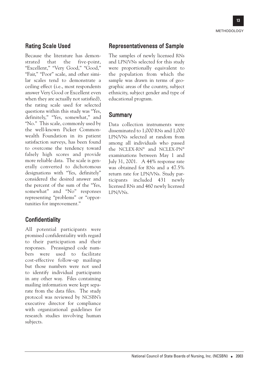# Rating Scale Used

Because the literature has demonstrated that the five-point, "Excellent," "Very Good," "Good," "Fair," "Poor" scale, and other similar scales tend to demonstrate a ceiling effect (i.e., most respondents answer Very Good or Excellent even when they are actually not satisfied), the rating scale used for selected questions within this study was "Yes, definitely," "Yes, somewhat," and "No." This scale, commonly used by the well-known Picker Commonwealth Foundation in its patient satisfaction surveys, has been found to overcome the tendency toward falsely high scores and provide more reliable data. The scale is generally converted to dichotomous designations with "Yes, definitely" considered the desired answer and the percent of the sum of the "Yes, somewhat" and "No" responses representing "problems" or "opportunities for improvement."

# **Confidentiality**

All potential participants were promised confidentiality with regard to their participation and their responses. Preassigned code numbers were used to facilitate cost-effective follow-up mailings but those numbers were not used to identify individual participants in any other way. Files containing mailing information were kept separate from the data files. The study protocol was reviewed by NCSBN's executive director for compliance with organizational guidelines for research studies involving human subjects.

# Representativeness of Sample

The samples of newly licensed RNs and LPN/VNs selected for this study were proportionally equivalent to the population from which the sample was drawn in terms of geographic areas of the country, subject ethnicity, subject gender and type of educational program.

# **Summary**

Data collection instruments were disseminated to 1,000 RNs and 1,000 LPN/VNs selected at random from among all individuals who passed the NCLEX-RN® and NCLEX-PN® examinations between May 1 and July 31, 2001. A 44% response rate was obtained for RNs and a 47.5% return rate for LPN/VNs. Study participants included 431 newly licensed RNs and 460 newly licensed LPN/VNs.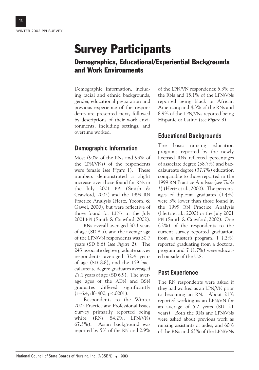# Survey Participants

# Demographics, Educational/Experiential Backgrounds and Work Environments

Demographic information, including racial and ethnic backgrounds, gender, educational preparation and previous experience of the respondents are presented next, followed by descriptions of their work environments, including settings, and overtime worked.

# Demographic Information

Most (90% of the RNs and 93% of the LPN/VNs) of the respondents were female (*see Figure 1*). These numbers demonstrated a slight increase over those found for RNs in the July 2001 PPI (Smith & Crawford, 2002) and the 1999 RN Practice Analysis (Hertz, Yocom, & Gawel, 2000), but were reflective of those found for LPNs in the July 2001 PPI (Smith & Crawford, 2002).

RNs overall averaged 30.3 years of age (SD 8.5), and the average age of the LPN/VN respondents was 30.7 years (SD 8.6) (*see Figure 2*). The 243 associate degree graduate survey respondents averaged 32.4 years of age (SD 8.8), and the 159 baccalaureate degree graduates averaged 27.1 years of age (SD 6.9). The average ages of the ADN and BSN graduates differed significantly  $(t=6.4, df=400, p<.0001).$ 

Respondents to the Winter 2002 Practice and Professional Issues Survey primarily reported being white (RNs 84.2%; LPN/VNs 67.3%). Asian background was reported by 5% of the RN and 2.9%

of the LPN/VN respondents; 5.3% of the RNs and 15.1% of the LPN/VNs reported being black or African American; and 4.3% of the RNs and 8.9% of the LPN/VNs reported being Hispanic or Latino (*see Figure 3*).

# Educational Backgrounds

The basic nursing education programs reported by the newly licensed RNs reflected percentages of associate degree (58.7%) and baccalaureate degree (37.7%) education comparable to those reported in the 1999 RN Practice Analysis (*see Table 1*) (Hertz et al., 2000). The percentages of diploma graduates (1.4%) were 3% lower than those found in the 1999 RN Practice Analysis (Hertz et al., 2000) or the July 2001 PPI (Smith & Crawford, 2002). One (.2%) of the respondents to the current survey reported graduation from a master's program, 1 (.2%) reported graduating from a doctoral program and 7 (1.7%) were educated outside of the U.S.

# Past Experience

The RN respondents were asked if they had worked as an LPN/VN prior to becoming an RN. About 21% reported working as an LPN/VN for an average of 5.2 years (SD 5.1 years). Both the RNs and LPN/VNs were asked about previous work as nursing assistants or aides, and 60% of the RNs and 63% of the LPN/VNs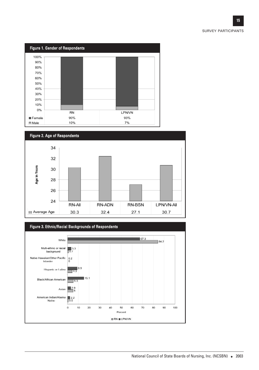





National Council of State Boards of Nursing, Inc. (NCSBN) ◆ 2003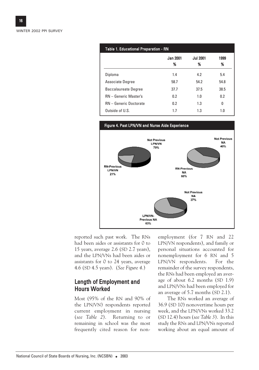WINTER 2002 PPI SURVEY

| Table 1. Educational Preparation - RN |                      |                      |           |
|---------------------------------------|----------------------|----------------------|-----------|
|                                       | <b>Jan 2001</b><br>% | <b>Jul 2001</b><br>% | 1999<br>% |
| Diploma                               | 1.4                  | 4.2                  | 5.4       |
| Associate Degree                      | 58.7                 | 54.2                 | 54.8      |
| <b>Baccalaureate Degree</b>           | 37.7                 | 37.5                 | 38.5      |
| <b>RN</b> – Generic Master's          | 0.2                  | 1.0                  | 0.2       |
| <b>RN</b> - Generic Doctorate         | 0.2                  | 1.3                  | 0         |
| Outside of U.S.                       | 1.7                  | 1.3                  | 1.0       |



reported such past work. The RNs had been aides or assistants for 0 to 15 years, average 2.6 (SD 2.7 years), and the LPN/VNs had been aides or assistants for 0 to 24 years, average 4.6 (SD 4.5 years). (*See Figure 4*.)

# Length of Employment and Hours Worked

Most (95% of the RN and 90% of the LPN/VN) respondents reported current employment in nursing (*see Table 2*). Returning to or remaining in school was the most frequently cited reason for non-

employment (for 7 RN and 22 LPN/VN respondents), and family or personal situations accounted for nonemployment for 6 RN and 5 LPN/VN respondents. For the remainder of the survey respondents, the RNs had been employed an average of about 6.2 months (SD 1.9) and LPN/VNs had been employed for an average of 5.7 months (SD 2.1).

The RNs worked an average of 36.9 (SD 10) nonovertime hours per week, and the LPN/VNs worked 33.2 (SD 12.4) hours (*see Table 3*). In this study the RNs and LPN/VNs reported working about an equal amount of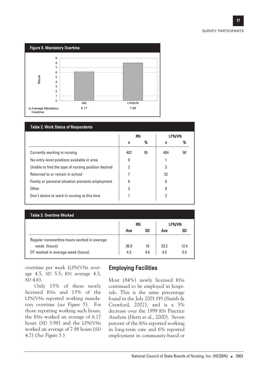

| <b>Table 2. Work Status of Respondents</b>          |           |    |               |    |
|-----------------------------------------------------|-----------|----|---------------|----|
|                                                     | <b>RN</b> |    | <b>LPN/VN</b> |    |
|                                                     | n         | %  | n             | %  |
| Currently working in nursing                        | 402       | 95 | 404           | 90 |
| No entry-level positions available in area          | O         |    |               |    |
| Unable to find the type of nursing position desired | 2         |    | 3             |    |
| Returned to or remain in school                     |           |    | 22            |    |
| Family or personal situation prevents employment    | 6         |    | 5             |    |
| Other                                               | 3         |    | 9             |    |
| Don't desire to work in nursing at this time        |           |    | 2             |    |
|                                                     |           |    |               |    |

| Table 3. Overtime Worked                    |      |     |      |               |
|---------------------------------------------|------|-----|------|---------------|
|                                             | RN   |     |      | <b>LPN/VN</b> |
|                                             | Ave  | SD  | Ave  | <b>SD</b>     |
| Regular nonovertime hours worked in average |      |     |      |               |
| week (hours)                                | 36.9 | 10  | 33.2 | 12.4          |
| OT worked in average week (hours)           | 4.3  | 4.6 | 4.5  | 5.5           |

overtime per week (LPN/VNs average 4.5, SD 5.5; RN average 4.3, SD 4.6).

Only 15% of these newly licensed RNs and 13% of the LPN/VNs reported working mandatory overtime (*see Figure 5*). For those reporting working such hours, the RNs worked an average of 6.17 hours (SD 3.98) and the LPN/VNs worked an average of 7.98 hours (SD 4.7) (S*ee Figure 5*.)

# Employing Facilities

Most (84%) newly licensed RNs continued to be employed in hospitals. This is the same percentage found in the July 2001 PPI (Smith & Crawford, 2002), and is a 3% decrease over the 1999 RN Practice Analysis (Hertz et al., 2000). Seven percent of the RNs reported working in long-term care and 6% reported employment in community-based or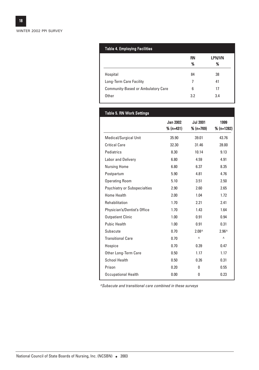WINTER 2002 PPI SURVEY

# Table 4. Employing Facilities RN LPN/VN % % Hospital 38 Long-Term Care Facility **7** 11 Community-Based or Ambulatory Care 6 17 Other 3.2 3.4

### Table 5. RN Work Settings

|                                     | <b>Jan 2002</b><br>$% (n=431)$ | <b>Jul 2001</b><br>% (n=769) | 1999<br>% (n=1282) |
|-------------------------------------|--------------------------------|------------------------------|--------------------|
| Medical/Surgical Unit               | 35.90                          | 39.01                        | 43.76              |
| <b>Critical Care</b>                | 32.30                          | 31.46                        | 28.00              |
| Pediatrics                          | 8.30                           | 10.14                        | 9.13               |
| Labor and Delivery                  | 6.80                           | 4.59                         | 4.91               |
| <b>Nursing Home</b>                 | 6.80                           | 6.37                         | 8.35               |
| Postpartum                          | 5.90                           | 4.81                         | 4.76               |
| <b>Operating Room</b>               | 5.10                           | 3.51                         | 2.50               |
| <b>Psychiatry or Subspecialties</b> | 2.90                           | 2.60                         | 2.65               |
| Home Health                         | 2.00                           | 1.04                         | 1.72               |
| Rehabilitation                      | 1.70                           | 2.21                         | 2.41               |
| Physician's/Dentist's Office        | 1.70                           | 1.43                         | 1.64               |
| <b>Outpatient Clinic</b>            | 1.00                           | 0.91                         | 0.94               |
| <b>Pubic Health</b>                 | 1.00                           | 0.91                         | 0.31               |
| Subacute                            | 0.70                           | $2.08^{\circ}$               | $2.96^{\text{A}}$  |
| <b>Transitional Care</b>            | 0.70                           | Λ                            | Λ                  |
| Hospice                             | 0.70                           | 0.39                         | 0.47               |
| Other Long-Term Care                | 0.50                           | 1.17                         | 1.17               |
| <b>School Health</b>                | 0.50                           | 0.26                         | 0.31               |
| Prison                              | 0.20                           | 0                            | 0.55               |
| <b>Occupational Health</b>          | 0.00                           | 0                            | 0.23               |
|                                     |                                |                              |                    |

^Subacute and transitional care combined in these surveys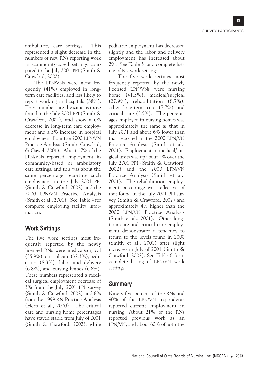ambulatory care settings. This represented a slight decrease in the numbers of new RNs reporting work in community-based settings compared to the July 2001 PPI (Smith & Crawford, 2002).

The LPN/VNs were most frequently (41%) employed in longterm care facilities, and less likely to report working in hospitals (38%). These numbers are the same as those found in the July 2001 PPI (Smith & Crawford, 2002), and show a 6% decrease in long-term care employment and a 3% increase in hospital employment from the 2000 LPN/VN Practice Analysis (Smith, Crawford, & Gawel, 2001). About 17% of the LPN/VNs reported employment in community-based or ambulatory care settings, and this was about the same percentage reporting such employment in the July 2001 PPI (Smith & Crawford, 2002) and the 2000 LPN/VN Practice Analysis (Smith et al., 2001). See Table 4 for complete employing facility information.

## Work Settings

The five work settings most frequently reported by the newly licensed RNs were medical/surgical (35.9%), critical care (32.3%), pediatrics (8.3%), labor and delivery (6.8%), and nursing homes (6.8%). These numbers represented a medical surgical employment decrease of 3% from the July 2001 PPI survey (Smith & Crawford, 2002) and 8% from the 1999 RN Practice Analysis (Hertz et al., 2000). The critical care and nursing home percentages have stayed stable from July of 2001 (Smith & Crawford, 2002), while

pediatric employment has decreased slightly and the labor and delivery employment has increased about 2%. See Table 5 for a complete listing of RN work settings.

The five work settings most frequently reported by the newly licensed LPN/VNs were nursing home (41.3%), medical/surgical (27.9%), rehabilitation (8.7%), other long-term care (7.7%) and critical care (5.5%). The percentages employed in nursing homes was approximately the same as that in July 2001 and about 6% lower than that reported in the 2000 LPN/VN Practice Analysis (Smith et al., 2001). Employment in medical/surgical units was up about 5% over the July 2001 PPI (Smith & Crawford, 2002) and the 2000 LPN/VN Practice Analysis (Smith et al., 2001). The rehabilitation employment percentage was reflective of that found in the July 2001 PPI survey (Smith & Crawford, 2002) and approximately 4% higher than the 2000 LPN/VN Practice Analysis (Smith et al., 2001). Other longterm care and critical care employment demonstrated a tendency to return to the levels found in 2000 (Smith et al., 2001) after slight increases in July of 2001 (Smith & Crawford, 2002). See Table 6 for a complete listing of LPN/VN work settings.

## Summary

Ninety-five percent of the RNs and 90% of the LPN/VN respondents reported current employment in nursing. About 21% of the RNs reported previous work as an LPN/VN, and about 60% of both the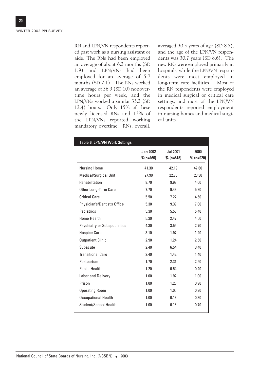RN and LPN/VN respondents reported past work as a nursing assistant or aide. The RNs had been employed an average of about 6.2 months (SD

1.9) and LPN/VNs had been employed for an average of 5.7 months (SD 2.1). The RNs worked an average of 36.9 (SD 10) nonovertime hours per week, and the LPN/VNs worked a similar 33.2 (SD 12.4) hours. Only 15% of these newly licensed RNs and 13% of the LPN/VNs reported working mandatory overtime. RNs, overall,

averaged 30.3 years of age (SD 8.5), and the age of the LPN/VN respondents was 30.7 years (SD 8.6). The new RNs were employed primarily in hospitals, while the LPN/VN respondents were most employed in long-term care facilities. Most of the RN respondents were employed in medical surgical or critical care settings, and most of the LPN/VN respondents reported employment in nursing homes and medical surgical units.

| Table 6. LPN/VN Work Settings       |                             |                              |                   |
|-------------------------------------|-----------------------------|------------------------------|-------------------|
|                                     | <b>Jan 2002</b><br>%(n=460) | <b>Jul 2001</b><br>% (n=618) | 2000<br>% (n=920) |
| <b>Nursing Home</b>                 | 41.30                       | 42.19                        | 47.60             |
| Medical/Surgical Unit               | 27.90                       | 22.70                        | 23.30             |
| <b>Rehabilitation</b>               | 8.70                        | 9.98                         | 4.60              |
| Other Long-Term Care                | 7.70                        | 9.43                         | 5.90              |
| Critical Care                       | 5.50                        | 7.27                         | 4.50              |
| Physician's/Dentist's Office        | 5.30                        | 9.39                         | 7.00              |
| Pediatrics                          | 5.30                        | 5.53                         | 5.40              |
| Home Health                         | 5.30                        | 2.47                         | 4.50              |
| <b>Psychiatry or Subspecialties</b> | 4.30                        | 3.55                         | 2.70              |
| <b>Hospice Care</b>                 | 3.10                        | 1.97                         | 1.20              |
| <b>Outpatient Clinic</b>            | 2.90                        | 1.24                         | 2.50              |
| Subacute                            | 2.40                        | 6.54                         | 3.40              |
| <b>Transitional Care</b>            | 2.40                        | 1.42                         | 1.40              |
| Postpartum                          | 1.70                        | 2.31                         | 2.50              |
| <b>Public Health</b>                | 1.20                        | 0.54                         | 0.40              |
| Labor and Delivery                  | 1.00                        | 1.92                         | 1.00              |
| Prison                              | 1.00                        | 1.25                         | 0.90              |
| <b>Operating Room</b>               | 1.00                        | 1.05                         | 0.20              |
| <b>Occupational Health</b>          | 1.00                        | 0.18                         | 0.30              |
| Student/School Health               | 1.00                        | 0.18                         | 0.70              |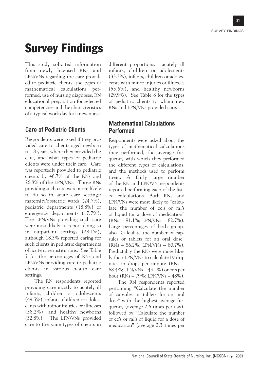# Survey Findings

This study solicited information from newly licensed RNs and LPN/VNs regarding the care provided to pediatric clients, the types of mathematical calculations performed, use of nursing diagnoses, RN educational preparation for selected competencies and the characteristics of a typical work day for a new nurse.

# Care of Pediatric Clients

Respondents were asked if they provided care to clients aged newborn to 18 years, where they provided the care, and what types of pediatric clients were under their care. Care was reportedly provided to pediatric clients by 46.7% of the RNs and 26.8% of the LPN/VNs. Those RNs providing such care were more likely to do so in acute care settings: maternity/obstetric wards (24.7%), pediatric departments (18.8%) or emergency departments (17.7%). The LPN/VNs providing such care were most likely to report doing so in outpatient settings (28.1%), although 18.3% reported caring for such clients in pediatric departments of acute care institutions. See Table 7 for the percentages of RNs and LPN/VNs providing care to pediatric clients in various health care settings.

The RN respondents reported providing care mostly to acutely ill infants, children or adolescents (49.5%), infants, children or adolescents with minor injuries or illnesses (38.2%), and healthy newborns (32.8%). The LPN/VNs provided care to the same types of clients in

different proportions: acutely ill infants, children or adolescents (33.3%), infants, children or adolescents with minor injuries or illnesses (55.6%), and healthy newborns (29.9%). See Table 8 for the types of pediatric clients to whom new RNs and LPN/VNs provided care.

# Mathematical Calculations Performed

Respondents were asked about the types of mathematical calculations they performed, the average frequency with which they performed the different types of calculations, and the methods used to perform them. A fairly large number of the RN and LPN/VN respondents reported performing each of the listed calculations. Both RNs and LPN/VNs were most likely to "calculate the number of cc's or ml's of liquid for a dose of medication"  $(RNs - 91.1\%; LPN/VNs - 82.7\%).$ Large percentages of both groups also "Calculate the number of capsules or tablets for an oral dose"  $(RNs - 86.2\%; LPN/VNs - 80.7\%).$ Predictably the RNs were more likely than LPN/VNs to calculate IV drip rates in drops per minute (RNs – 68.4%; LPN/VNs – 43.5%) or cc's per hour (RNs – 79%; LPN/VNs – 48%).

The RN respondents reported performing "Calculate the number of capsules or tablets for an oral dose" with the highest average frequency (average 2.6 times per day), followed by "Calculate the number of cc's or ml's of liquid for a dose of medication" (average 2.3 times per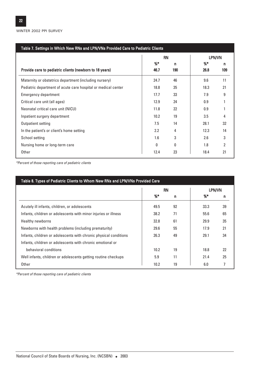#### WINTER 2002 PPI SURVEY

| Table 7. Settings in Which New RNs and LPN/VNs Provided Care to Pediatric Clients |      |           |               |     |
|-----------------------------------------------------------------------------------|------|-----------|---------------|-----|
|                                                                                   |      | <b>RN</b> | <b>LPN/VN</b> |     |
|                                                                                   | %*   | n         | %*            | n   |
| Provide care to pediatric clients (newborn to 18 years)                           | 46.7 | 190       | 26.8          | 109 |
| Maternity or obstetrics department (including nursery)                            | 24.7 | 46        | 9.6           | 11  |
| Pediatric department of acute care hospital or medical center                     | 18.8 | 35        | 18.3          | 21  |
| Emergency department                                                              | 17.7 | 33        | 7.9           | 9   |
| Critical care unit (all ages)                                                     | 12.9 | 24        | 0.9           |     |
| Neonatal critical care unit (NICU)                                                | 11.8 | 22        | 0.9           |     |
| Inpatient surgery department                                                      | 10.2 | 19        | 3.5           | 4   |
| Outpatient setting                                                                | 7.5  | 14        | 28.1          | 32  |
| In the patient's or client's home setting                                         | 2.2  | 4         | 12.3          | 14  |
| School setting                                                                    | 1.6  | 3         | 2.6           | 3   |
| Nursing home or long-term care                                                    | 0    | 0         | 1.8           | 2   |
| Other                                                                             | 12.4 | 23        | 18.4          | 21  |

\*Percent of those reporting care of pediatric clients

| Table 8. Types of Pediatric Clients to Whom New RNs and LPN/VNs Provided Care |       |           |               |    |
|-------------------------------------------------------------------------------|-------|-----------|---------------|----|
|                                                                               |       | <b>RN</b> | <b>LPN/VN</b> |    |
|                                                                               | $%$ * | n         | %*            | n  |
| Acutely ill infants, children, or adolescents                                 | 49.5  | 92        | 33.3          | 39 |
| Infants, children or adolescents with minor injuries or illness               | 38.2  | 71        | 55.6          | 65 |
| Healthy newborns                                                              | 32.8  | 61        | 29.9          | 35 |
| Newborns with health problems (including prematurity)                         | 29.6  | 55        | 17.9          | 21 |
| Infants, children or adolescents with chronic physical conditions             | 26.3  | 49        | 29.1          | 34 |
| Infants, children or adolescents with chronic emotional or                    |       |           |               |    |
| behavioral conditions                                                         | 10.2  | 19        | 18.8          | 22 |
| Well infants, children or adolescents getting routine checkups                | 5.9   | 11        | 21.4          | 25 |
| Other                                                                         | 10.2  | 19        | 6.0           |    |

\*Percent of those reporting care of pediatric clients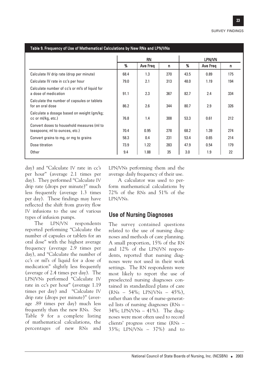|                                                                              |      | <b>RN</b> |     |      | <b>LPN/VN</b> |     |
|------------------------------------------------------------------------------|------|-----------|-----|------|---------------|-----|
|                                                                              | %    | Ave Freg  | n   | %    | Ave Frea      | n   |
| Calculate IV drip rate (drop per minute)                                     | 68.4 | 1.3       | 270 | 43.5 | 0.89          | 175 |
| Calculate IV rate in cc's per hour                                           | 79.0 | 2.1       | 313 | 48.0 | 1.19          | 194 |
| Calculate number of cc's or ml's of liquid for<br>a dose of medication       | 91.1 | 2.3       | 367 | 82.7 | 2.4           | 334 |
| Calculate the number of capsules or tablets<br>for an oral dose              | 86.2 | 2.6       | 344 | 80.7 | 2.9           | 326 |
| Calculate a dosage based on weight (gm/kg;<br>cc or ml/kg, etc.)             | 76.8 | 1.4       | 308 | 53.3 | 0.61          | 212 |
| Convert doses to household measures (ml to<br>teaspoons; ml to ounces, etc.) | 70.4 | 0.95      | 278 | 68.2 | 1.39          | 274 |
| Convert grains to mg, or mg to grains                                        | 58.3 | 0.4       | 231 | 53.4 | 0.65          | 214 |
| Dose titration                                                               | 73.9 | 1.22      | 283 | 47.9 | 0.54          | 179 |
| Other                                                                        | 9.4  | 1.88      | 35  | 3.0  | 1.9           | 22  |

day) and "Calculate IV rate in cc's per hour" (average 2.1 times per day). They performed "Calculate IV drip rate (drops per minute)" much less frequently (average 1.3 times per day). These findings may have reflected the shift from gravity flow IV infusions to the use of various types of infusion pumps.

The LPN/VN respondents reported performing "Calculate the number of capsules or tablets for an oral dose" with the highest average frequency (average 2.9 times per day), and "Calculate the number of cc's or ml's of liquid for a dose of medication" slightly less frequently (average of 2.4 times per day). The LPN/VNs performed "Calculate IV rate in cc's per hour" (average 1.19 times per day) and "Calculate IV drip rate (drops per minute)" (average .89 times per day) much less frequently than the new RNs. See Table 9 for a complete listing of mathematical calculations, the percentages of new RNs and

LPN/VNs performing them and the average daily frequency of their use.

A calculator was used to perform mathematical calculations by 72% of the RNs and 51% of the LPN/VNs.

# Use of Nursing Diagnoses

The survey contained questions related to the use of nursing diagnoses and methods of care planning. A small proportion, 15% of the RN and 12% of the LPN/VN respondents, reported that nursing diagnoses were not used in their work settings. The RN respondents were most likely to report the use of preselected nursing diagnoses contained in standardized plans of care  $(RNs - 54\%; LPN/VNs - 45\%),$ rather than the use of nurse-generated lists of nursing diagnoses (RNs –  $34\%$ ; LPN/VNs  $-41\%$ ). The diagnoses were most often used to record clients' progress over time (RNs – 33%; LPN/VNs – 37%) and to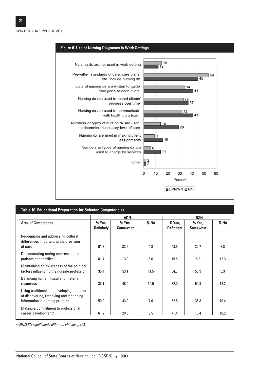

|                                                                                                                        |                             | <b>ADN</b>         |      |                             | <b>BSN</b>         |      |
|------------------------------------------------------------------------------------------------------------------------|-----------------------------|--------------------|------|-----------------------------|--------------------|------|
| <b>Area of Competence</b>                                                                                              | % Yes.<br><b>Definitely</b> | % Yes.<br>Somewhat | % No | % Yes.<br><b>Definitely</b> | % Yes.<br>Somewhat | % No |
| Recognizing and addressing cultural<br>differences important to the provision<br>of care                               | 61.8                        | 33.9               | 4.3  | 58.5                        | 32.7               | 8.8  |
| Demonstrating caring and respect to<br>patients and families^                                                          | 81.4                        | 13.0               | 5.6  | 79.5                        | 8.2                | 12.3 |
| Maintaining an awareness of the political<br>factors influencing the nursing profession                                | 35.4                        | 53.1               | 11.5 | 34.7                        | 56.9               | 8.3  |
| Balancing human, fiscal and material<br>resources                                                                      | 36.1                        | 48.0               | 15.9 | 32.0                        | 55.8               | 12.2 |
| Using traditional and developing methods<br>of discovering, retrieving and managing<br>information in nursing practice | 50.0                        | 43.0               | 7.0  | 52.8                        | 36.8               | 10.4 |
| Making a commitment to professional<br>career development^                                                             | 61.2                        | 29.3               | 9.5  | 71.4                        | 18.4               | 10.2 |

^ADN/BSN significantly different, chi-squ, p<.05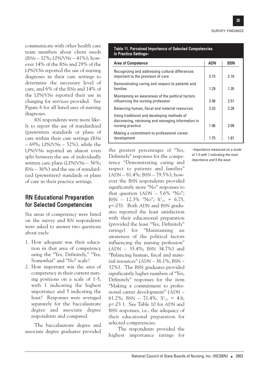communicate with other health care team members about client needs  $(RNs - 32\%; LPN/VNs - 41\%); how$ ever 14% of the RNs and 29% of the LPN/VNs reported the use of nursing diagnoses in their care settings to determine the necessary level of care, and 6% of the RNs and 14% of the LPN/VNs reported their use in charging for services provided. See Figure 6 for all listed uses of nursing diagnoses.

RN respondents were more likely to report the use of standardized (prewritten standards or plans of care within their care settings (RNs  $-69\%$ ; LPN/VNs  $-52\%$ ), while the LPN/VNs reported an almost even split between the use of individually written care plans (LPN/VNs – 56%; RNs – 36%) and the use of standardized (prewritten) standards or plans of care in their practice settings.

# RN Educational Preparation for Selected Competencies

Six areas of competency were listed on the survey and RN respondents were asked to answer two questions about each:

- 1. How adequate was their education in that area of competency using the "Yes, Definitely," "Yes, Somewhat" and "No" scale?
- 2. How important was the area of competency in their current nursing positions on a scale of 1-5, with 1 indicating the highest importance and 5 indicating the least? Responses were averaged separately for the baccalaureate degree and associate degree respondents and compared.

The baccalaureate degree and associate degree graduates provided

### Table 11. Perceived Importance of Selected Competencies in Practice Settings~

| <b>Area of Competence</b>                                                                                              | <b>ADN</b> | <b>BSN</b> |
|------------------------------------------------------------------------------------------------------------------------|------------|------------|
| Recognizing and addressing cultural differences<br>important to the provision of care                                  | 2.15       | 2.10       |
| Demonstrating caring and respect to patients and<br>families                                                           | 1.29       | 1.35       |
| Maintaining an awareness of the political factors<br>influencing the nursing profession                                | 2.48       | 2.51       |
| Balancing human, fiscal and material resources                                                                         | 2.23       | 2.28       |
| Using traditional and developing methods of<br>discovering, retrieving and managing information in<br>nursing practice | 1.96       | 2.09       |
| Making a commitment to professional career<br>development                                                              | 1.75       | 1.81       |

the greatest percentages of "Yes, Definitely" responses for the competency "Demonstrating caring and respect to patients and families"  $(ADN - 81.4\%; BSN - 79.5\%; how$ ever the BSN respondents provided significantly more "No" responses to that question  $(ADN - 5.6\%$  "No"; BSN – 12.3% "No";  $X_{(2)}^2 = 6.75$ , p<.03). Both ADN and BSN graduates reported the least satisfaction with their educational preparation (provided the least "Yes, Definitely" ratings) for "Maintaining an awareness of the political factors influencing the nursing profession" (ADN – 35.4%; BSN 34.7%) and "Balancing human, fiscal and material resources" (ADN – 36.1%; BSN – 32%). The BSN graduates provided significantly higher numbers of "Yes, Definitely" responses for the item "Making a commitment to professional career development" (ADN – 61.2%; BSN - 71.4%,  $X_{(2)}^2$  = 4.6, p<.03 ). See Table 10 for ADN and BSN responses, i.e., the adequacy of their educational preparation for selected competencies.

The respondents provided the highest importance ratings for ~Importance measured on a scale of 1-5 with 1 indicating the most importance and 5 the least.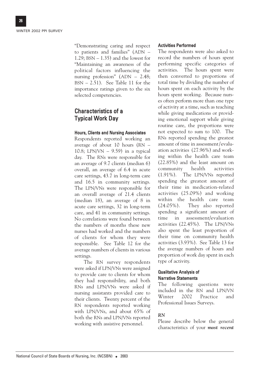"Demonstrating caring and respect to patients and families" (ADN – 1.29; BSN – 1.35) and the lowest for "Maintaining an awareness of the political factors influencing the nursing profession" (ADN – 2.48; BSN – 2.51). See Table 11 for the importance ratings given to the six selected competencies.

# Characteristics of a Typical Work Day

#### Hours, Clients and Nursing Associates

Respondents reported working an average of about 10 hours (RN – 10.8; LPN/VN – 9.59) in a typical day. The RNs were responsible for an average of 9.7 clients (median 6) overall, an average of 6.4 in acute care settings, 43.7 in long-term care and 16.5 in community settings. The LPN/VNs were responsible for an overall average of 21.4 clients (median 18), an average of 8 in acute care settings, 32 in long-term care, and 41 in community settings. No correlations were found between the numbers of months these new nurses had worked and the numbers of clients for whom they were responsible. See Table 12 for the average numbers of clients in various settings.

The RN survey respondents were asked if LPN/VNs were assigned to provide care to clients for whom they had responsibility, and both RNs and LPN/VNs were asked if nursing assistants provided care to their clients. Twenty percent of the RN respondents reported working with LPN/VNs, and about 65% of both the RNs and LPN/VNs reported working with assistive personnel.

#### Activities Performed

The respondents were also asked to record the numbers of hours spent performing specific categories of activities. The hours spent were then converted to proportions of total time by dividing the number of hours spent on each activity by the hours spent working. Because nurses often perform more than one type of activity at a time, such as teaching while giving medications or providing emotional support while giving routine care, the proportions were not expected to sum to 100. The RNs reported spending the greatest amount of time in assessment/evaluation activities (27.96%) and working within the health care team (22.85%) and the least amount on community health activities (1.91%). The LPN/VNs reported spending the greatest amount of their time in medication-related activities (25.09%) and working within the health care team (24.05%). They also reported spending a significant amount of time in assessment/evaluation activities (22.45%). The LPN/VNs also spent the least proportion of their time on community health activities (3.93%). See Table 13 for the average numbers of hours and proportion of work day spent in each type of activity.

#### Qualitative Analysis of Narrative Statements

The following questions were included in the RN and LPN/VN Winter 2002 Practice and Professional Issues Surveys.

### *RN*

Please describe below the general characteristics of your *most recent*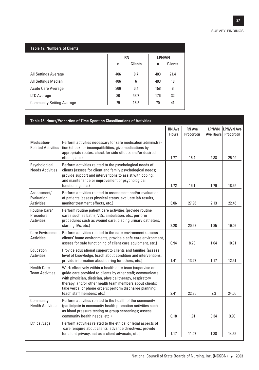| <b>Table 12. Numbers of Clients</b> |           |                |     |                |
|-------------------------------------|-----------|----------------|-----|----------------|
|                                     | <b>RN</b> | <b>LPN/VN</b>  |     |                |
|                                     | n         | <b>Clients</b> | n   | <b>Clients</b> |
| All Settings Average                | 406       | 9.7            | 403 | 21.4           |
| All Settings Median                 | 406       | 6              | 403 | 18             |
| Acute Care Average                  | 366       | 6.4            | 158 | 8              |
| <b>LTC</b> Average                  | 30        | 43.7           | 176 | 32             |
| <b>Community Setting Average</b>    | 25        | 16.5           | 70  | 41             |

# Table 13. Hours/Proportion of Time Spent on Classifications of Activities

|                                                 |                                                                                                                                                                                                                                                                                                                                          | <b>RN Ave</b><br><b>Hours</b> | <b>RN Ave</b><br>Proportion | <b>LPN/VN</b><br>Ave Hours | <b>LPN/VN Ave</b><br>Proportion |
|-------------------------------------------------|------------------------------------------------------------------------------------------------------------------------------------------------------------------------------------------------------------------------------------------------------------------------------------------------------------------------------------------|-------------------------------|-----------------------------|----------------------------|---------------------------------|
| Medication-                                     | Perform activities necessary for safe medication administra-<br>Related Activities tion (check for incompatibilities, give medications by<br>appropriate routes, check for side effects and/or desired<br>effects, etc.)                                                                                                                 | 1.77                          | 16.4                        | 2.38                       | 25.09                           |
| Psychological<br><b>Needs Activities</b>        | Perform activities related to the psychological needs of<br>clients (assess for client and family psychological needs;<br>provide support and interventions to assist with coping;<br>and maintenance or improvement of psychological<br>functioning; etc.)                                                                              | 1.72                          | 16.1                        | 1.79                       | 18.65                           |
| Assessment/<br>Evaluation<br><b>Activities</b>  | Perform activities related to assessment and/or evaluation<br>of patients (assess physical status, evaluate lab results,<br>monitor treatment effects, etc.)                                                                                                                                                                             | 3.06                          | 27.96                       | 2.13                       | 22.45                           |
| Routine Care/<br>Procedure<br><b>Activities</b> | Perform routine patient care activities (provide routine<br>cares such as baths, VSs, ambulation, etc.; perform<br>procedures such as wound care, placing urinary catheters,<br>starting IVs, etc.)                                                                                                                                      | 2.28                          | 20.62                       | 1.85                       | 19.02                           |
| <b>Activities</b>                               | Care Environment Perform activities related to the care environment (assess<br>clients' home environments, provide a safe care environment,<br>assess for safe functioning of client care equipment, etc.)                                                                                                                               | 0.94                          | 8.78                        | 1.04                       | 10.91                           |
| Education<br><b>Activities</b>                  | Provide educational support to clients and families (assess<br>level of knowledge, teach about condition and interventions,<br>provide information about caring for others, etc.)                                                                                                                                                        | 1.41                          | 13.27                       | 1.17                       | 12.51                           |
| <b>Health Care</b><br><b>Team Activities</b>    | Work effectively within a health care team (supervise or<br>quide care provided to clients by other staff; communicate<br>with physician, dietician, physical therapy, respiratory<br>therapy, and/or other health team members about clients;<br>take verbal or phone orders; perform discharge planning;<br>teach staff members; etc.) | 2.41                          | 22.85                       | 2.3                        | 24.05                           |
| Community<br><b>Health Activities</b>           | Perform activities related to the health of the community<br>(participate in community health promotion activities such<br>as blood pressure testing or group screenings; assess<br>community health needs; etc.)                                                                                                                        | 0.18                          | 1.91                        | 0.34                       | 3.93                            |
| Ethical/Legal                                   | Perform activities related to the ethical or legal aspects of<br>care (enquire about clients' advance directives; provide<br>for client privacy, act as a client advocate, etc.)                                                                                                                                                         | 1.17                          | 11.07                       | 1.38                       | 14.39                           |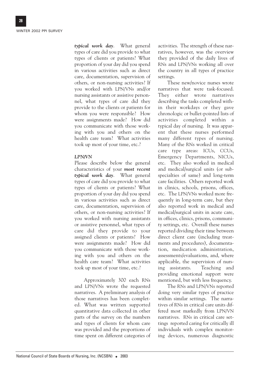*typical work day*. What general types of care did you provide to what types of clients or patients? What proportion of your day did you spend in various activities such as direct care, documentation, supervision of others, or non-nursing activities? If you worked with LPN/VNs and/or nursing assistants or assistive personnel, what types of care did they provide to the clients or patients for whom you were responsible? How were assignments made? How did you communicate with those working with you and others on the health care team? What activities took up most of your time, etc.?

#### *LPN/VN*

Please describe below the general characteristics of your *most recent typical work day*. What general types of care did you provide to what types of clients or patients? What proportion of your day did you spend in various activities such as direct care, documentation, supervision of others, or non-nursing activities? If you worked with nursing assistants or assistive personnel, what types of care did they provide to your assigned clients or patients? How were assignments made? How did you communicate with those working with you and others on the health care team? What activities took up most of your time, etc.?

Approximately 300 each RNs and LPN/VNs wrote the requested narratives. A preliminary analysis of those narratives has been completed. What was written supported quantitative data collected in other parts of the survey on the numbers and types of clients for whom care was provided and the proportions of time spent on different categories of activities. The strength of these narratives, however, was the overview they provided of the daily lives of RNs and LPN/VNs working all over the country in all types of practice settings.

These new/novice nurses wrote narratives that were task-focused. They either wrote narratives describing the tasks completed within their workdays or they gave chronologic or bullet-pointed lists of activities completed within a typical day of nursing. It was apparent that these nurses performed many different types of nursing. Many of the RNs worked in critical care type areas: ICUs, CCUs, Emergency Departments, NICUs, etc. They also worked in medical and medical/surgical units (or subspecialties of same) and long-term care facilities. Others reported work in clinics, schools, prisons, offices, etc. The LPN/VNs worked more frequently in long-term care, but they also reported work in medical and medical/surgical units in acute care, in offices, clinics, prisons, community settings, etc. Overall these nurses reported dividing their time between direct client care (including treatments and procedures), documentation, medication administration, assessments/evaluations, and, where applicable, the supervision of nursing assistants. Teaching and providing emotional support were mentioned, but with less frequency.

The RNs and LPN/VNs reported doing very similar types of practice within similar settings. The narratives of RNs in critical care units differed most markedly from LPN/VN narratives. RNs in critical care settings reported caring for critically ill individuals with complex monitoring devices, numerous diagnostic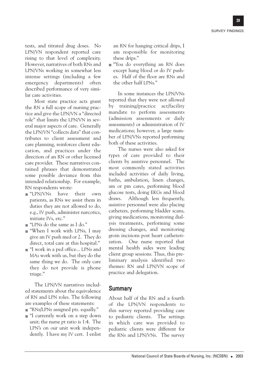tests, and titrated drug doses. No LPN/VN respondent reported care rising to that level of complexity. However, narratives of both RNs and LPN/VNs working in somewhat less intense settings (including a few emergency departments) often described performance of very similar care activities.

Most state practice acts grant the RN a full scope of nursing practice and give the LPN/VN a "directed role" that limits the LPN/VN in several major aspects of care. Generally the LPN/VN "collects data" that contributes to client assessment and care planning, reinforces client education, and practices under the direction of an RN or other licensed care provider. These narratives contained phrases that demonstrated some possible deviance from this intended relationship. For example, RN respondents wrote:

- "LPN/VNs have their own patients, as RNs we assist them in duties they are not allowed to do, e.g., IV push, administer narcotics, initiate IVs, etc."
- "LPNs do the same as I do."
- "When I work with LPNs, I may give an IV push med or 2. They do direct, total care at this hospital."
- "I work in a ped office... LPNs and MAs work with us, but they do the same thing we do. The only care they do not provide is phone triage."

The LPN/VN narratives included statements about the equivalence of RN and LPN roles. The following are examples of these statements:

- "RNs/LPNs assigned pts. equally."
- "I currently work on a step down unit; the nurse pt ratio is 1:4. The LPN's on our unit work independently. I have my IV cert. I enlist

an RN for hanging critical drips, I am responsible for monitoring these drips."

■ "You do everything an RN does except hang blood or do IV pushes. Half of the floor are RNs and the other half LPNs."

In some instances the LPN/VNs reported that they were not allowed by training/practice act/facility mandate to perform assessments (admission assessments or daily assessments) or administration of IV medications; however, a large number of LPN/VNs reported performing both of these activities.

The nurses were also asked for types of care provided to their clients by assistive personnel. The most commonly stated activities included activities of daily living, baths, ambulation, linen changes, am or pm cares, performing blood glucose tests, doing EKGs and blood draws. Although less frequently, assistive personnel were also placing catheters, performing bladder scans, giving medications, monitoring dialysis treatments, performing some dressing changes, and monitoring groin incisions post heart catheterization. One nurse reported that mental health aides were leading client group sessions. Thus, this preliminary analysis identified two themes: RN and LPN/VN scope of practice and delegation.

### Summary

About half of the RN and a fourth of the LPN/VN respondents to this survey reported providing care to pediatric clients. The settings in which care was provided to pediatric clients were different for the RNs and LPN/VNs. The survey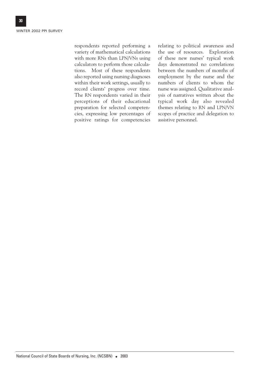respondents reported performing a variety of mathematical calculations with more RNs than LPN/VNs using calculators to perform those calculations. Most of these respondents also reported using nursing diagnoses within their work settings, usually to record clients' progress over time. The RN respondents varied in their perceptions of their educational preparation for selected competencies, expressing low percentages of positive ratings for competencies

relating to political awareness and the use of resources. Exploration of these new nurses' typical work days demonstrated no correlations between the numbers of months of employment by the nurse and the numbers of clients to whom the nurse was assigned. Qualitative analysis of narratives written about the typical work day also revealed themes relating to RN and LPN/VN scopes of practice and delegation to assistive personnel.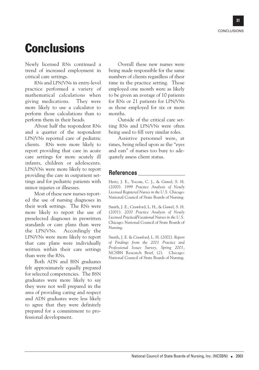# **Conclusions**

Newly licensed RNs continued a trend of increased employment in critical care settings.

RNs and LPN/VNs in entry-level practice performed a variety of mathematical calculations when giving medications. They were more likely to use a calculator to perform those calculations than to perform them in their heads.

About half the respondent RNs and a quarter of the respondent LPN/VNs reported care of pediatric clients. RNs were more likely to report providing that care in acute care settings for more acutely ill infants, children or adolescents. LPN/VNs were more likely to report providing the care in outpatient settings and for pediatric patients with minor injuries or illnesses.

Most of these new nurses reported the use of nursing diagnoses in their work settings. The RNs were more likely to report the use of preselected diagnoses in prewritten standards or care plans than were the LPN/VNs. Accordingly the LPN/VNs were more likely to report that care plans were individually written within their care settings than were the RNs.

Both ADN and BSN graduates felt approximately equally prepared for selected competencies. The BSN graduates were more likely to say they were not well prepared in the area of providing caring and respect and ADN graduates were less likely to agree that they were definitely prepared for a commitment to professional development.

Overall these new nurses were being made responsible for the same numbers of clients regardless of their time in the practice setting. Those employed one month were as likely to be given an average of 10 patients for RNs or 21 patients for LPN/VNs as those employed for six or more months.

Outside of the critical care setting RNs and LPN/VNs were often being used to fill very similar roles.

Assistive personnel were, at times, being relied upon as the "eyes and ears" of nurses too busy to adequately assess client status.

## References

Hertz, J. E., Yocom, C. J., & Gawel, S. H. (2000). *1999 Practice Analysis of Newly Licensed Registered Nurses in the U.S.* Chicago: National Council of State Boards of Nursing.

Smith, J. E., Crawford, L. H., & Gawel, S. H. (2001). *2000 Practice Analysis of Newly Licensed Practical/Vocational Nurses in the U.S.* Chicago: National Council of State Boards of Nursing.

Smith, J. E. & Crawford, L. H. (2002). *Report of Findings from the 2001 Practice and Professional Issues Survey, Spring 2001*, NCSBN Research Brief, (2). Chicago: National Council of State Boards of Nursing.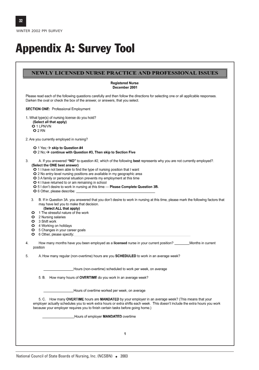# **Appendix A: Survey Tool**

### NEWLY LICENSED NURSE PRACTICE AND PROFESSIONAL ISSUES

#### **Registered Nurse** December 2001

Please read each of the following questions carefully and then follow the directions for selecting one or all applicable responses. Darken the oval or check the box of the answer, or answers, that you select.

**SECTION ONE: Professional Employment** 

|               | 1. What type(s) of nursing license do you hold? |
|---------------|-------------------------------------------------|
|               | (Select all that apply)                         |
| O 1 LPN/VN    |                                                 |
| <b>O</b> 2 RN |                                                 |

2. Are you currently employed in nursing?

O 1 Yes; → skip to Question #4

- O 2 No; → continue with Question #3, Then skip to Section Five
- 3. A. If you answered "NO" to question #2, which of the following best represents why you are not currently employed?. (Select the ONE best answer)
	- O 1 I have not been able to find the type of nursing position that I want
	- O 2 No entry-level nursing positions are available in my geographic area
	- O 3 A family or personal situation prevents my employment at this time
	- O 4 I have returned to or am remaining in school
	- O 5 I don't desire to work in nursing at this time --- Please Complete Question 3B.
	- O 6 Other, please describe:
	- 3. B. If in Question 3A. you answered that you don't desire to work in nursing at this time, please mark the following factors that may have led you to make that decision.

(Select ALL that apply)

- O 1 The stressful nature of the work
- o 2 Nursing salaries
- O 3 Shift work
- O 4 Working on holidays
- O 5 Changes in your career goals
- O 6 Other, please specify:
- How many months have you been employed as a licensed nurse in your current position? \_\_\_\_\_\_\_\_ Months in current 4. position

5. A. How many regular (non-overtime) hours are you SCHEDULED to work in an average week?

Hours (non-overtime) scheduled to work per week, on average

5. B. How many hours of OVERTIME do you work in an average week?

Hours of overtime worked per week, on average

5. C. How many OVERTIME hours are MANDATED by your employer in an average week? (This means that your employer actually schedules you to work extra hours or extra shifts each week. This doesn't include the extra hours you work because your employer requires you to finish certain tasks before going home.)

\_Hours of employer MANDATED overtime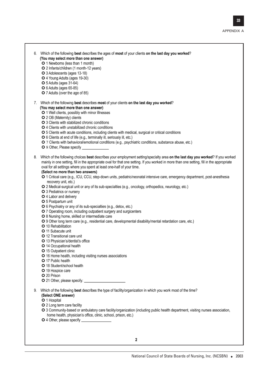APPENDIX A

| 6. Which of the following best describes the ages of most of your clients on the last day you worked?<br>(You may select more than one answer)<br>O 1 Newborns (less than 1 month)<br>O 2 Infants/children (1 month-12 years)<br>O 3 Adolescents (ages 13-18)<br>O 4 Young Adults (ages 19-30)<br>O 5 Adults (ages 31-64)<br>O 6 Adults (ages 65-85)<br>O 7 Adults (over the age of 85)                                                                                                                                                                                                                                                                                                                                                                                                                                                                                                                                                                                                                                                                                                                                                                                                                                                                                                                                                                                                                        |
|----------------------------------------------------------------------------------------------------------------------------------------------------------------------------------------------------------------------------------------------------------------------------------------------------------------------------------------------------------------------------------------------------------------------------------------------------------------------------------------------------------------------------------------------------------------------------------------------------------------------------------------------------------------------------------------------------------------------------------------------------------------------------------------------------------------------------------------------------------------------------------------------------------------------------------------------------------------------------------------------------------------------------------------------------------------------------------------------------------------------------------------------------------------------------------------------------------------------------------------------------------------------------------------------------------------------------------------------------------------------------------------------------------------|
| 7. Which of the following best describes most of your clients on the last day you worked?<br>(You may select more than one answer)<br>O 1 Well clients, possibly with minor illnesses<br>O 2 OB (Maternity) clients<br>○ 3 Clients with stabilized chronic conditions<br>O 4 Clients with unstabilized chronic conditions<br>O 5 Clients with acute conditions, including clients with medical, surgical or critical conditions<br>O 6 Clients at end of life (e.g., terminally ill, seriously ill, etc.)<br>O 7 Clients with behavioral/emotional conditions (e.g., psychiatric conditions, substance abuse, etc.)<br>O 8 Other, Please specify                                                                                                                                                                                                                                                                                                                                                                                                                                                                                                                                                                                                                                                                                                                                                               |
| 8. Which of the following choices best describes your employment setting/specialty area on the last day you worked? If you worked<br>mainly in one setting, fill in the appropriate oval for that one setting. If you worked in more than one setting, fill in the appropriate<br>oval for all settings where you spent at least one-half of your time.<br>(Select no more than two answers)<br>O 1 Critical care (e.g., ICU, CCU, step-down units, pediatric/neonatal intensive care, emergency department, post-anesthesia<br>recovery unit, etc.)<br>O 2 Medical-surgical unit or any of its sub-specialties (e.g., oncology, orthopedics, neurology, etc.)<br>O 3 Pediatrics or nursery<br>O 4 Labor and delivery<br>O 5 Postpartum unit<br>O 6 Psychiatry or any of its sub-specialties (e.g., detox, etc.)<br>O 7 Operating room, including outpatient surgery and surgicenters<br>O 8 Nursing home, skilled or intermediate care<br>O 9 Other long term care (e.g., residential care, developmental disability/mental retardation care, etc.)<br>O 10 Rehabilitation<br>O 11 Subacute unit<br>O 12 Transitional care unit<br>O 13 Physician's/dentist's office<br>O 14 Occupational health<br>O 15 Outpatient clinic<br>O 16 Home health, including visiting nurses associations<br>O 17 Public health<br>O 18 Student/school health<br>O 19 Hospice care<br>O 20 Prison<br>O 21 Other, please specify: |
| 9. Which of the following best describes the type of facility/organization in which you work most of the time?<br>(Select ONE answer)<br>O 1 Hospital<br>O 2 Long term care facility<br>O 3 Community-based or ambulatory care facility/organization (including public health department, visiting nurses association,<br>home health, physician's office, clinic, school, prison, etc.)<br>O 4 Other, please specify _                                                                                                                                                                                                                                                                                                                                                                                                                                                                                                                                                                                                                                                                                                                                                                                                                                                                                                                                                                                        |
|                                                                                                                                                                                                                                                                                                                                                                                                                                                                                                                                                                                                                                                                                                                                                                                                                                                                                                                                                                                                                                                                                                                                                                                                                                                                                                                                                                                                                |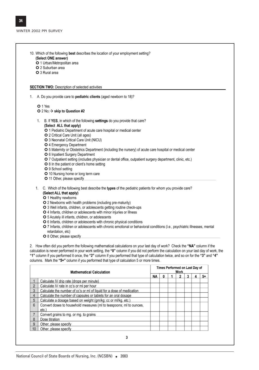(Select ONE answer) O 1 Urban/Metropolitan area O 2 Suburban area O 3 Rural area SECTION TWO: Description of selected activities 1. A. Do you provide care to pediatric clients (aged newborn to 18)?  $O$  1 Yes ○ 2 No: > skip to Question #2 1. B. If YES, in which of the following settings do you provide that care? (Select ALL that apply) O 1 Pediatric Department of acute care hospital or medical center O 2 Critical Care Unit (all ages) O 3 Neonatal Critical Care Unit (NICU) O 4 Emergency Department O 5 Maternity or Obstetrics Department (including the nursery) of acute care hospital or medical center O 6 Inpatient Surgery Department O 7 Outpatient setting (includes physician or dental office, outpatient surgery department, clinic, etc.) O 8 In the patient or client's home setting O 9 School setting O 10 Nursing home or long term care O 11 Other, please specify

10. Which of the following best describes the location of your employment setting?

- 1. C. Which of the following best describe the types of the pediatric patients for whom you provide care? (Select ALL that apply)
	- O 1 Healthy newborns
	- O 2 Newborns with health problems (including pre-maturity)
	- O 3 Well infants, children, or adolescents getting routine check-ups
	- O 4 Infants, children or adolescents with minor injuries or illness
	- O 5 Acutely ill infants, children, or adolescents
	- O 6 Infants, children or adolescents with chronic physical conditions
	- O 7 Infants, children or adolescents with chronic emotional or behavioral conditions (i.e., psychiatric illnesses, mental retardation, etc)
	- O 8 Other, please specify

2. How often did you perform the following mathematical calculations on your last day of work? Check the "NA" column if the calculation is never performed in your work setting, the "0" column if you did not perform the calculation on your last day of work, the "1" column if you performed it once, the "2" column if you performed that type of calculation twice, and so on for the "3" and "4" columns. Mark the "5+" column if you performed that type of calculation 5 or more times.

|    | <b>Mathematical Calculation</b>                                              |    | Times Performed on Last Day of<br>Work |  |  |  |  |      |  |  |  |
|----|------------------------------------------------------------------------------|----|----------------------------------------|--|--|--|--|------|--|--|--|
|    |                                                                              | ΝA |                                        |  |  |  |  | $5+$ |  |  |  |
|    | Calculate IV drip rate (drops per minute)                                    |    |                                        |  |  |  |  |      |  |  |  |
| 2  | Calculate IV rate in cc's or mI per hour                                     |    |                                        |  |  |  |  |      |  |  |  |
| 3  | Calculate the number of cc's or ml of liquid for a dose of medication        |    |                                        |  |  |  |  |      |  |  |  |
| 4  | Calculate the number of capsules or tablets for an oral dosage               |    |                                        |  |  |  |  |      |  |  |  |
| 5  | Calculate a dosage based on weight (gm/kg; cc or ml/kg, etc.)                |    |                                        |  |  |  |  |      |  |  |  |
| 6  | Convert doses to household measures (ml to teaspoons; ml to ounces,<br>etc.) |    |                                        |  |  |  |  |      |  |  |  |
| 7  | Convert grains to mg. or mg. to grains                                       |    |                                        |  |  |  |  |      |  |  |  |
| 8  | Dose titration                                                               |    |                                        |  |  |  |  |      |  |  |  |
| 9  | Other, please specify                                                        |    |                                        |  |  |  |  |      |  |  |  |
| 10 | Other, please specify                                                        |    |                                        |  |  |  |  |      |  |  |  |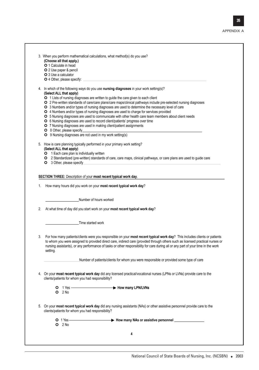$35\,$ 

|    | 3. When you perform mathematical calculations, what method(s) do you use?<br>(Choose all that apply.)                                                                                                |
|----|------------------------------------------------------------------------------------------------------------------------------------------------------------------------------------------------------|
|    | O 1 Calculate in head                                                                                                                                                                                |
|    | O 2 Use paper & pencil                                                                                                                                                                               |
|    | O 3 Use a calculator                                                                                                                                                                                 |
|    | O 4 Other, please specify:                                                                                                                                                                           |
|    | 4. In which of the following ways do you use nursing diagnoses in your work setting(s)?                                                                                                              |
|    | (Select ALL that apply)                                                                                                                                                                              |
|    | O 1 Lists of nursing diagnoses are written to guide the care given to each client<br>O 2 Pre-written standards of care/care plans/care maps/clinical pathways include pre-selected nursing diagnoses |
|    | O 3 Numbers and/or types of nursing diagnoses are used to determine the necessary level of care                                                                                                      |
|    | O 4 Numbers and/or types of nursing diagnoses are used to charge for services provided                                                                                                               |
|    | O 5 Nursing diagnoses are used to communicate with other health care team members about client needs                                                                                                 |
|    | O 6 Nursing diagnoses are used to record client/patients' progress over time                                                                                                                         |
|    | O 7 Nursing diagnoses are used in making client/patient assignments<br>O 8 Other, please specify                                                                                                     |
|    | O 9 Nursing diagnoses are not used in my work setting(s)                                                                                                                                             |
|    | 5. How is care planning typically performed in your primary work setting?                                                                                                                            |
|    | (Select ALL that apply)                                                                                                                                                                              |
|    | O 1 Each care plan is individually written                                                                                                                                                           |
|    | O 2 Standardized (pre-written) standards of care, care maps, clinical pathways, or care plans are used to guide care<br>O 3 Other, please specify                                                    |
|    |                                                                                                                                                                                                      |
|    |                                                                                                                                                                                                      |
|    | SECTION THREE: Description of your most recent typical work day.                                                                                                                                     |
| 1. | How many hours did you work on your most recent typical work day?                                                                                                                                    |
|    |                                                                                                                                                                                                      |
|    |                                                                                                                                                                                                      |
|    | Number of hours worked                                                                                                                                                                               |
| 2. | At what time of day did you start work on your most recent typical work day?                                                                                                                         |
|    |                                                                                                                                                                                                      |
|    | Time started work                                                                                                                                                                                    |
|    | For how many patients/clients were you responsible on your most recent typical work day? This includes clients or patients                                                                           |
|    | to whom you were assigned to provided direct care, indirect care (provided through others such as licensed practical nurses or                                                                       |
|    | nursing assistants), or any performance of tasks or other responsibility for care during all or any part of your time in the work                                                                    |
| 3. | setting.                                                                                                                                                                                             |
|    | Number of patients/clients for whom you were responsible or provided some type of care                                                                                                               |
|    |                                                                                                                                                                                                      |
|    | On your most recent typical work day did any licensed practical/vocational nurses (LPNs or LVNs) provide care to the<br>clients/patients for whom you had responsibility?                            |
|    |                                                                                                                                                                                                      |
|    | $O2$ No                                                                                                                                                                                              |
|    |                                                                                                                                                                                                      |
|    | 5. On your most recent typical work day did any nursing assistants (NAs) or other assistive personnel provide care to the<br>clients/patients for whom you had responsibility?                       |
|    | $O$ 1 Yes $\overline{\qquad \qquad }$<br>$\blacktriangleright$ How many NAs or assistive personnel                                                                                                   |
|    | $O2$ No                                                                                                                                                                                              |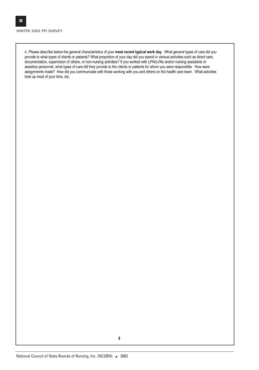6. Please describe below the general characteristics of your most recent typical work day. What general types of care did you provide to what types of clients or patients? What proportion of your day did you spend in various activities such as direct care, documentation, supervision of others, or non-nursing activities? If you worked with LPN/LVNs and/or nursing assistants or assistive personnel, what types of care did they provide to the clients or patients for whom you were responsible. How were assignments made? How did you communicate with those working with you and others on the health care team. What activities took up most of your time, etc.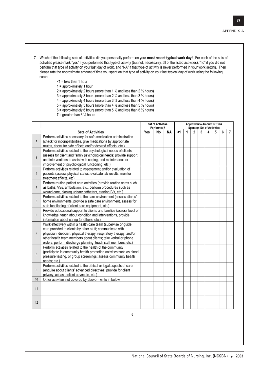- 7. Which of the following sets of activities did you personally perform on your most recent typical work day? For each of the sets of activities please mark "yes" if you performed that type of activity (but not, necessarily, all of the listed activities), "no" if you did not perform that type of activity on your last day of work, and "NA" if that type of activity is never performed in your work setting. Then please rate the approximate amount of time you spent on that type of activity on your last typical day of work using the following scale:
	- $<$ 1 = less than 1 hour
	- 1 = approximately 1 hour
	- 2 = approximately 2 hours (more than 1 1/2 and less than 2 1/2 hours)
	- 3 = approximately 3 hours (more than 2 1/2 and less than 3 1/2 hours)
	- 4 = approximately 4 hours (more than 3 1/2 and less than 4 1/2 hours)
	- 5 = approximately 5 hours (more than 4 1/2 and less than 5 1/2 hours)
	- 6 = approximately 6 hours (more than 5  $\frac{1}{2}$  and less than 6  $\frac{1}{2}$  hours)
	- $7 =$  greater than  $6\frac{1}{2}$  hours

|                |                                                                                                                                                                                                                                                                                                                                       |     | <b>Set of Activities</b><br>Performed? |    |    | Approximate Amount of Time<br>Spent on Set of Activities |                |   |   |   |   |                |
|----------------|---------------------------------------------------------------------------------------------------------------------------------------------------------------------------------------------------------------------------------------------------------------------------------------------------------------------------------------|-----|----------------------------------------|----|----|----------------------------------------------------------|----------------|---|---|---|---|----------------|
|                | <b>Sets of Activities</b>                                                                                                                                                                                                                                                                                                             | Yes | No                                     | NA | <1 | 1                                                        | $\overline{2}$ | 3 | 4 | 5 | 6 | $\overline{7}$ |
| $\mathbf{1}$   | Perform activities necessary for safe medication administration<br>(check for incompatibilities, give medications by appropriate<br>routes, check for side effects and/or desired effects, etc.)                                                                                                                                      |     |                                        |    |    |                                                          |                |   |   |   |   |                |
| $\overline{2}$ | Perform activities related to the psychological needs of clients<br>(assess for client and family psychological needs; provide support<br>and interventions to assist with coping, and maintenance or<br>improvement of psychological functioning; etc.)                                                                              |     |                                        |    |    |                                                          |                |   |   |   |   |                |
| 3              | Perform activities related to assessment and/or evaluation of<br>patients (assess physical status, evaluate lab results, monitor<br>treatment effects, etc)                                                                                                                                                                           |     |                                        |    |    |                                                          |                |   |   |   |   |                |
| 4              | Perform routine patient care activities (provide routine cares such<br>as baths, VSs, ambulation, etc.; perform procedures such as<br>wound care, placing urinary catheters, starting IVs, etc.)                                                                                                                                      |     |                                        |    |    |                                                          |                |   |   |   |   |                |
| 5              | Perform activities related to the care environment (assess clients'<br>home environments, provide a safe care environment, assess for<br>safe functioning of client care equipment, etc.)                                                                                                                                             |     |                                        |    |    |                                                          |                |   |   |   |   |                |
| 6              | Provide educational support to clients and families (assess level of<br>knowledge, teach about condition and interventions, provide<br>information about caring for others, etc.)                                                                                                                                                     |     |                                        |    |    |                                                          |                |   |   |   |   |                |
| $\overline{7}$ | Work effectively within a health care team (supervise or guide<br>care provided to clients by other staff; communicate with<br>physician, dietician, physical therapy, respiratory therapy, and/or<br>other health team members about clients; take verbal or phone<br>orders; perform discharge planning; teach staff members, etc.) |     |                                        |    |    |                                                          |                |   |   |   |   |                |
| 8              | Perform activities related to the health of the community<br>(participate in community health promotion activities such as blood<br>pressure testing, or group screenings; assess community health<br>needs; etc.)                                                                                                                    |     |                                        |    |    |                                                          |                |   |   |   |   |                |
| 9              | Perform activities related to the ethical or legal aspects of care<br>(enquire about clients' advanced directives; provide for client<br>privacy, act as a client advocate, etc.)                                                                                                                                                     |     |                                        |    |    |                                                          |                |   |   |   |   |                |
| 10             | Other activities not covered by above - write in below                                                                                                                                                                                                                                                                                |     |                                        |    |    |                                                          |                |   |   |   |   |                |
| 11             |                                                                                                                                                                                                                                                                                                                                       |     |                                        |    |    |                                                          |                |   |   |   |   |                |
| 12             |                                                                                                                                                                                                                                                                                                                                       |     |                                        |    |    |                                                          |                |   |   |   |   |                |
|                | 6                                                                                                                                                                                                                                                                                                                                     |     |                                        |    |    |                                                          |                |   |   |   |   |                |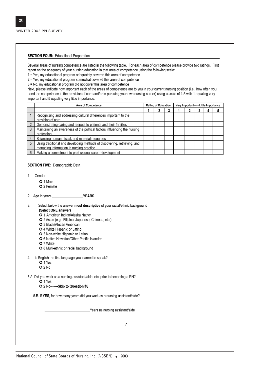#### **SECTION FOUR: Educational Preparation**

Several areas of nursing competence are listed in the following table. For each area of competence please provide two ratings. First report on the adequacy of your nursing education in that area of competence using the following scale:

1 = Yes, my educational program adequately covered this area of competence

2 = Yes, my educational program somewhat covered this area of competence

3 = No, my educational program did not cover this area of competence

Next, please indicate how important each of the areas of competence are to you in your current nursing position (i.e., how often you need the competence in the provision of care and/or in pursuing your own nursing career) using a scale of 1-5 with 1 equaling very important and 5 equaling very little importance.

|   | Area of Competence                                                                                                   | <b>Rating of Education</b> |  | Very Important------Little Importance |  |  |  |
|---|----------------------------------------------------------------------------------------------------------------------|----------------------------|--|---------------------------------------|--|--|--|
|   |                                                                                                                      |                            |  |                                       |  |  |  |
|   | Recognizing and addressing cultural differences important to the<br>provision of care                                |                            |  |                                       |  |  |  |
|   | Demonstrating caring and respect to patients and their families                                                      |                            |  |                                       |  |  |  |
|   | Maintaining an awareness of the political factors influencing the nursing<br>profession                              |                            |  |                                       |  |  |  |
|   | Balancing human, fiscal, and material resources                                                                      |                            |  |                                       |  |  |  |
| 5 | Using traditional and developing methods of discovering, retrieving, and<br>managing information in nursing practice |                            |  |                                       |  |  |  |
|   | Making a commitment to professional career development                                                               |                            |  |                                       |  |  |  |

#### SECTION FIVE: Demographic Data

- 1. Gender:
	- O 1 Male
	- O 2 Female
- 2. Age in years **YEARS**
- Select below the answer most descriptive of your racial/ethnic background  $3.$ (Select ONE answer)
	- O 1 American Indian/Alaska Native
	- O 2 Asian (e.g., Filipino, Japanese, Chinese, etc.)
	- O 3 Black/African American
	- O 4 White Hispanic or Latino
	- O 5 Non-white Hispanic or Latino
	- O 6 Native Hawaiian/Other Pacific Islander
	- O 7 White
	- O 8 Multi-ethnic or racial background
- 4. Is English the first language you learned to speak?
	- O 1 Yes
	- $O<sub>2</sub>$  No
- 5.A. Did you work as a nursing assistant/aide, etc. prior to becoming a RN?
	- O 1 Yes
		- O 2 No-------Skip to Question #6
	- 5.B. If YES, for how many years did you work as a nursing assistant/aide?

Years as nursing assistant/aide

 $\overline{7}$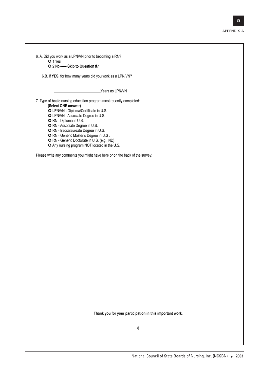6. A. Did you work as a LPN/VN prior to becoming a RN? O 1 Yes O 2 No-------Skip to Question #7 6.B. If YES, for how many years did you work as a LPN/VN? Years as LPN/VN 7. Type of basic nursing education program most recently completed: (Select ONE answer) O LPN/VN - Diploma/Certificate in U.S. O LPN/VN - Associate Degree in U.S. O RN - Diploma in U.S. O RN - Associate Degree in U.S. O RN - Baccalaureate Degree in U.S. O RN - Generic Master's Degree in U.S. O RN - Generic Doctorate in U.S. (e.g., ND) O Any nursing program NOT located in the U.S. Please write any comments you might have here or on the back of the survey: Thank you for your participation in this important work. 8

National Council of State Boards of Nursing, Inc. (NCSBN) + 2003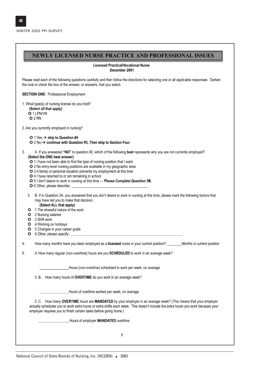### **NEWLY LICENSED NURSE PRACTICE AND PROFESSIONAL ISSUES**

#### **Licensed Practical/Vocational Nurse** December 2001

Please read each of the following questions carefully and then follow the directions for selecting one or all applicable responses. Darken the oval or check the box of the answer, or answers, that you select.

**SECTION ONE: Professional Employment** 

1. What type(s) of nursing license do you hold? (Select all that apply) O 1 LPN/VN  $O<sub>2</sub> RN$ 

2. Are you currently employed in nursing?

O 1 Yes; → skip to Question #4

#### O 2 No; → continue with Question #3, Then skip to Section Four

| A. If you answered "NO" to question #2, which of the following best represents why you are not currently employed? |
|--------------------------------------------------------------------------------------------------------------------|
| (Select the ONE best answer)                                                                                       |

- O 1 I have not been able to find the type of nursing position that I want
- O 2 No entry-level nursing positions are available in my geographic area
- O 3 A family or personal situation prevents my employment at this time
- O 4 I have returned to or am remaining in school
- O 5 I don't desire to work in nursing at this time --- Please Complete Question 3B.
- O 6 Other, please describe:
- 3. B. If in Question 3A. you answered that you don't desire to work in nursing at this time, please mark the following factors that may have led you to make that decision.

#### (Select ALL that apply)

- O 1 The stressful nature of the work
- O 2 Nursing salaries
- O 3 Shift work
- O 4 Working on holidays
- O 5 Changes in your career goals
- O 6 Other, please specify:

How many months have you been employed as a licensed nurse in your current position? \_\_\_\_\_\_\_ Months in current position 4.

5. A. How many regular (non-overtime) hours are you SCHEDULED to work in an average week?

\_Hours (non-overtime) scheduled to work per week, on average

5. B. How many hours of OVERTIME do you work in an average week?

Hours of overtime worked per week, on average

5. C. How many OVERTIME hours are MANDATED by your employer in an average week? (This means that your employer actually schedules you to work extra hours or extra shifts each week. This doesn't include the extra hours you work because your employer requires you to finish certain tasks before going home.)

Hours of employer MANDATED overtime

1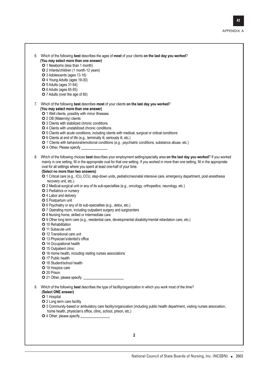6. Which of the following best describes the ages of most of your clients on the last day you worked? (You may select more than one answer) O 1 Newborns (less than 1 month) O 2 Infants/children (1 month-12 years) O 3 Adolescents (ages 13-18) O 4 Young Adults (ages 19-30) O 5 Adults (ages 31-64) O 6 Adults (ages 65-85) O 7 Adults (over the age of 85) 7. Which of the following best describes most of your clients on the last day you worked? (You may select more than one answer) O 1 Well clients, possibly with minor illnesses O 2 OB (Maternity) clients O 3 Clients with stabilized chronic conditions O 4 Clients with unstabilized chronic conditions O 5 Clients with acute conditions, including clients with medical, surgical or critical conditions O 6 Clients at end of life (e.g., terminally ill, seriously ill, etc.) O 7 Clients with behavioral/emotional conditions (e.g., psychiatric conditions, substance abuse, etc.) O 8 Other, Please specify 8. Which of the following choices best describes your employment setting/specialty area on the last day you worked? If you worked mainly in one setting, fill in the appropriate oval for that one setting. If you worked in more than one setting, fill in the appropriate oval for all settings where you spent at least one-half of your time. (Select no more than two answers) O 1 Critical care (e.g., ICU, CCU, step-down units, pediatric/neonatal intensive care, emergency department, post-anesthesia recovery unit, etc.) O 2 Medical-surgical unit or any of its sub-specialties (e.g., oncology, orthopedics, neurology, etc.) O 3 Pediatrics or nursery O 4 Labor and delivery O 5 Postpartum unit O 6 Psychiatry or any of its sub-specialties (e.g., detox, etc.) O 7 Operating room, including outpatient surgery and surgicenters O 8 Nursing home, skilled or intermediate care O 9 Other long term care (e.g., residential care, developmental disability/mental retardation care, etc.) O 10 Rehabilitation O 11 Subacute unit O 12 Transitional care unit O 13 Physician's/dentist's office O 14 Occupational health O 15 Outpatient clinic O 16 Home health, including visiting nurses associations O 17 Public health O 18 Student/school health O 19 Hospice care O 20 Prison O 21 Other, please specify: 9. Which of the following best describes the type of facility/organization in which you work most of the time? (Select ONE answer) O 1 Hospital O 2 Long term care facility O 3 Community-based or ambulatory care facility/organization (including public health department, visiting nurses association, home health, physician's office, clinic, school, prison, etc.) O 4 Other, please specify  $\overline{2}$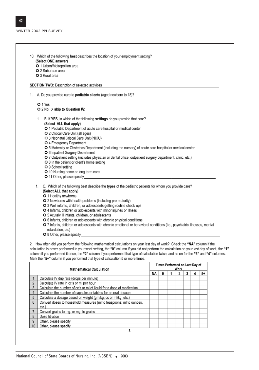(Select ONE answer) O 1 Urban/Metropolitan area O 2 Suburban area O 3 Rural area SECTION TWO: Description of selected activities 1. A. Do you provide care to pediatric clients (aged newborn to 18)? O 1 Yes  $Q$  2 No;  $\rightarrow$  skip to Question #2 1. B. If YES, in which of the following settings do you provide that care? (Select ALL that apply)

10. Which of the following best describes the location of your employment setting?

O 1 Pediatric Department of acute care hospital or medical center

- O 2 Critical Care Unit (all ages)
- O 3 Neonatal Critical Care Unit (NICU)
- O 4 Emergency Department
- O 5 Maternity or Obstetrics Department (including the nursery) of acute care hospital or medical center
- O 6 Inpatient Surgery Department
- O 7 Outpatient setting (includes physician or dental office, outpatient surgery department, clinic, etc.)
- O 8 In the patient or client's home setting
- O 9 School setting
- O 10 Nursing home or long term care
- O 11 Other, please specify\_

1. C. Which of the following best describe the types of the pediatric patients for whom you provide care? (Select ALL that apply)

- O 1 Healthy newborns
- O 2 Newborns with health problems (including pre-maturity)
- O 3 Well infants, children, or adolescents getting routine check-ups
- O 4 Infants, children or adolescents with minor injuries or illness
- O 5 Acutely ill infants, children, or adolescents
- O 6 Infants, children or adolescents with chronic physical conditions
- O 7 Infants, children or adolescents with chronic emotional or behavioral conditions (i.e., psychiatric illnesses, mental retardation, etc)
- O 8 Other, please specify

2. How often did you perform the following mathematical calculations on your last day of work? Check the "NA" column if the calculation is never performed in your work setting, the "0" column if you did not perform the calculation on your last day of work, the "1" column if you performed it once, the "2" column if you performed that type of calculation twice, and so on for the "3" and "4" columns. Mark the "5+" column if you performed that type of calculation 5 or more times.

|    | <b>Mathematical Calculation</b>                                              |  | Times Performed on Last Day of<br>Work |  |  |  |  |      |  |  |  |
|----|------------------------------------------------------------------------------|--|----------------------------------------|--|--|--|--|------|--|--|--|
|    |                                                                              |  |                                        |  |  |  |  | $5+$ |  |  |  |
|    | Calculate IV drip rate (drops per minute)                                    |  |                                        |  |  |  |  |      |  |  |  |
| 2  | Calculate IV rate in cc's or ml per hour                                     |  |                                        |  |  |  |  |      |  |  |  |
| 3  | Calculate the number of cc's or ml of liquid for a dose of medication        |  |                                        |  |  |  |  |      |  |  |  |
| 4  | Calculate the number of capsules or tablets for an oral dosage               |  |                                        |  |  |  |  |      |  |  |  |
| 5  | Calculate a dosage based on weight (gm/kg; cc or ml/kg, etc.)                |  |                                        |  |  |  |  |      |  |  |  |
| 6  | Convert doses to household measures (ml to teaspoons; ml to ounces,<br>etc.) |  |                                        |  |  |  |  |      |  |  |  |
| 7  | Convert grains to mg. or mg. to grains                                       |  |                                        |  |  |  |  |      |  |  |  |
| 8  | Dose titration                                                               |  |                                        |  |  |  |  |      |  |  |  |
| 9  | Other, please specify                                                        |  |                                        |  |  |  |  |      |  |  |  |
| 10 | Other, please specify                                                        |  |                                        |  |  |  |  |      |  |  |  |
|    | 2                                                                            |  |                                        |  |  |  |  |      |  |  |  |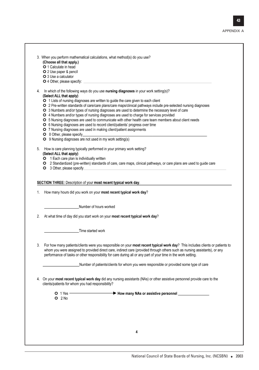|    | 3. When you perform mathematical calculations, what method(s) do you use?<br>(Choose all that apply.)                                                                                                                                        |
|----|----------------------------------------------------------------------------------------------------------------------------------------------------------------------------------------------------------------------------------------------|
|    | O 1 Calculate in head                                                                                                                                                                                                                        |
|    | O 2 Use paper & pencil<br>O 3 Use a calculator                                                                                                                                                                                               |
|    | O 4 Other, please specify:                                                                                                                                                                                                                   |
|    |                                                                                                                                                                                                                                              |
|    | 4. In which of the following ways do you use nursing diagnoses in your work setting(s)?<br>(Select ALL that apply)                                                                                                                           |
|    | O 1 Lists of nursing diagnoses are written to guide the care given to each client                                                                                                                                                            |
|    | O 2 Pre-written standards of care/care plans/care maps/clinical pathways include pre-selected nursing diagnoses                                                                                                                              |
|    | O 3 Numbers and/or types of nursing diagnoses are used to determine the necessary level of care                                                                                                                                              |
|    | O 4 Numbers and/or types of nursing diagnoses are used to charge for services provided                                                                                                                                                       |
|    | O 5 Nursing diagnoses are used to communicate with other health care team members about client needs                                                                                                                                         |
|    | O 6 Nursing diagnoses are used to record client/patients' progress over time<br>O 7 Nursing diagnoses are used in making client/patient assignments                                                                                          |
|    | O 8 Other, please specify                                                                                                                                                                                                                    |
|    | O 9 Nursing diagnoses are not used in my work setting(s)                                                                                                                                                                                     |
|    | 5. How is care planning typically performed in your primary work setting?                                                                                                                                                                    |
|    | (Select ALL that apply)                                                                                                                                                                                                                      |
|    | O 1 Each care plan is individually written                                                                                                                                                                                                   |
|    | O 2 Standardized (pre-written) standards of care, care maps, clinical pathways, or care plans are used to guide care                                                                                                                         |
|    | O 3 Other, please specify                                                                                                                                                                                                                    |
|    | 1. How many hours did you work on your most recent typical work day?                                                                                                                                                                         |
|    |                                                                                                                                                                                                                                              |
|    | Number of hours worked                                                                                                                                                                                                                       |
|    | 2. At what time of day did you start work on your most recent typical work day?                                                                                                                                                              |
|    | Time started work                                                                                                                                                                                                                            |
| 3. | whom you were assigned to provided direct care, indirect care (provided through others such as nursing assistants), or any<br>performance of tasks or other responsibility for care during all or any part of your time in the work setting. |
|    | Number of patients/clients for whom you were responsible or provided some type of care                                                                                                                                                       |
|    | 4. On your most recent typical work day did any nursing assistants (NAs) or other assistive personnel provide care to the                                                                                                                    |
|    | clients/patients for whom you had responsibility?                                                                                                                                                                                            |
|    | $\blacktriangleright$ How many NAs or assistive personnel<br>$O$ 1 Yes $-$                                                                                                                                                                   |
|    | $O2$ No                                                                                                                                                                                                                                      |
|    | For how many patients/clients were you responsible on your most recent typical work day? This includes clients or patients to                                                                                                                |
|    |                                                                                                                                                                                                                                              |
|    |                                                                                                                                                                                                                                              |
|    |                                                                                                                                                                                                                                              |
|    | 4                                                                                                                                                                                                                                            |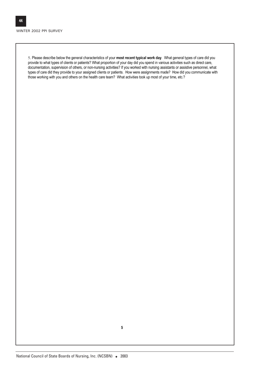5. Please describe below the general characteristics of your most recent typical work day. What general types of care did you provide to what types of clients or patients? What proportion of your day did you spend in various activities such as direct care, documentation, supervision of others, or non-nursing activities? If you worked with nursing assistants or assistive personnel, what types of care did they provide to your assigned clients or patients. How were assignments made? How did you communicate with those working with you and others on the health care team? What activities took up most of your time, etc.?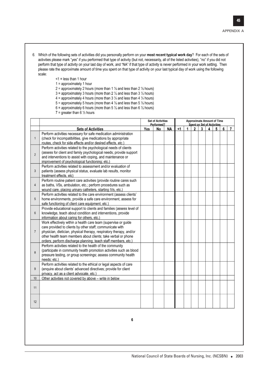- activities please mark "yes" if you performed that type of activity (but not, necessarily, all of the listed activities), "no" if you did not perform that type of activity on your last day of work, and "NA" if that type of activity is never performed in your work setting. Then please rate the approximate amount of time you spent on that type of activity on your last typical day of work using the following scale:
	- $<$ 1 = less than 1 hour

1 = approximately 1 hour

2 = approximately 2 hours (more than 1 1/2 and less than 2 1/2 hours)

3 = approximately 3 hours (more than 2 1/2 and less than 3 1/2 hours)

- 4 = approximately 4 hours (more than 3 1/2 and less than 4 1/2 hours)
- 5 = approximately 5 hours (more than 4 1/2 and less than 5 1/2 hours)
- 6 = approximately 6 hours (more than 5  $\frac{1}{2}$  and less than 6  $\frac{1}{2}$  hours)

 $7 =$  greater than 6  $\frac{1}{2}$  hours

|                |                                                                                                                             |     | <b>Set of Activities</b><br>Performed? |    |    |   |   |   |   | Approximate Amount of Time<br>Spent on Set of Activities |   |                |
|----------------|-----------------------------------------------------------------------------------------------------------------------------|-----|----------------------------------------|----|----|---|---|---|---|----------------------------------------------------------|---|----------------|
|                | <b>Sets of Activities</b>                                                                                                   | Yes | No                                     | NΑ | <1 | 1 | 2 | 3 | 4 | 5                                                        | 6 | $\overline{7}$ |
|                | Perform activities necessary for safe medication administration                                                             |     |                                        |    |    |   |   |   |   |                                                          |   |                |
| $\mathbf{1}$   | (check for incompatibilities, give medications by appropriate                                                               |     |                                        |    |    |   |   |   |   |                                                          |   |                |
|                | routes, check for side effects and/or desired effects, etc.)                                                                |     |                                        |    |    |   |   |   |   |                                                          |   |                |
|                | Perform activities related to the psychological needs of clients                                                            |     |                                        |    |    |   |   |   |   |                                                          |   |                |
| $\overline{2}$ | (assess for client and family psychological needs; provide support                                                          |     |                                        |    |    |   |   |   |   |                                                          |   |                |
|                | and interventions to assist with coping, and maintenance or                                                                 |     |                                        |    |    |   |   |   |   |                                                          |   |                |
|                | improvement of psychological functioning; etc.)<br>Perform activities related to assessment and/or evaluation of            |     |                                        |    |    |   |   |   |   |                                                          |   |                |
| 3              | patients (assess physical status, evaluate lab results, monitor                                                             |     |                                        |    |    |   |   |   |   |                                                          |   |                |
|                | treatment effects, etc)                                                                                                     |     |                                        |    |    |   |   |   |   |                                                          |   |                |
|                | Perform routine patient care activities (provide routine cares such                                                         |     |                                        |    |    |   |   |   |   |                                                          |   |                |
| 4              | as baths, VSs, ambulation, etc.; perform procedures such as                                                                 |     |                                        |    |    |   |   |   |   |                                                          |   |                |
|                | wound care, placing urinary catheters, starting IVs, etc.)                                                                  |     |                                        |    |    |   |   |   |   |                                                          |   |                |
|                | Perform activities related to the care environment (assess clients'                                                         |     |                                        |    |    |   |   |   |   |                                                          |   |                |
| 5              | home environments, provide a safe care environment, assess for                                                              |     |                                        |    |    |   |   |   |   |                                                          |   |                |
|                | safe functioning of client care equipment, etc.)                                                                            |     |                                        |    |    |   |   |   |   |                                                          |   |                |
|                | Provide educational support to clients and families (assess level of                                                        |     |                                        |    |    |   |   |   |   |                                                          |   |                |
| 6              | knowledge, teach about condition and interventions, provide                                                                 |     |                                        |    |    |   |   |   |   |                                                          |   |                |
|                | information about caring for others, etc.)                                                                                  |     |                                        |    |    |   |   |   |   |                                                          |   |                |
|                | Work effectively within a health care team (supervise or guide                                                              |     |                                        |    |    |   |   |   |   |                                                          |   |                |
|                | care provided to clients by other staff; communicate with                                                                   |     |                                        |    |    |   |   |   |   |                                                          |   |                |
| $\overline{7}$ | physician, dietician, physical therapy, respiratory therapy, and/or                                                         |     |                                        |    |    |   |   |   |   |                                                          |   |                |
|                | other health team members about clients; take verbal or phone                                                               |     |                                        |    |    |   |   |   |   |                                                          |   |                |
|                | orders; perform discharge planning; teach staff members, etc.)<br>Perform activities related to the health of the community |     |                                        |    |    |   |   |   |   |                                                          |   |                |
|                | (participate in community health promotion activities such as blood                                                         |     |                                        |    |    |   |   |   |   |                                                          |   |                |
| 8              | pressure testing, or group screenings; assess community health                                                              |     |                                        |    |    |   |   |   |   |                                                          |   |                |
|                | needs; etc.)                                                                                                                |     |                                        |    |    |   |   |   |   |                                                          |   |                |
|                | Perform activities related to the ethical or legal aspects of care                                                          |     |                                        |    |    |   |   |   |   |                                                          |   |                |
| 9              | (enquire about clients' advanced directives; provide for client                                                             |     |                                        |    |    |   |   |   |   |                                                          |   |                |
|                | privacy, act as a client advocate, etc.)                                                                                    |     |                                        |    |    |   |   |   |   |                                                          |   |                |
| 10             | Other activities not covered by above - write in below                                                                      |     |                                        |    |    |   |   |   |   |                                                          |   |                |
|                |                                                                                                                             |     |                                        |    |    |   |   |   |   |                                                          |   |                |
| 11             |                                                                                                                             |     |                                        |    |    |   |   |   |   |                                                          |   |                |
|                |                                                                                                                             |     |                                        |    |    |   |   |   |   |                                                          |   |                |
|                |                                                                                                                             |     |                                        |    |    |   |   |   |   |                                                          |   |                |
| 12             |                                                                                                                             |     |                                        |    |    |   |   |   |   |                                                          |   |                |
|                |                                                                                                                             |     |                                        |    |    |   |   |   |   |                                                          |   |                |
|                |                                                                                                                             |     |                                        |    |    |   |   |   |   |                                                          |   |                |

6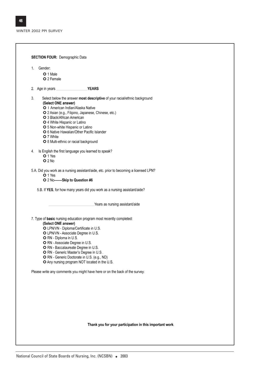| 1. Gender:                                                    |                                                                                              |
|---------------------------------------------------------------|----------------------------------------------------------------------------------------------|
| O 1 Male                                                      |                                                                                              |
| O 2 Female                                                    |                                                                                              |
| 2. Age in years                                               | <b>YEARS</b>                                                                                 |
| 3.                                                            | Select below the answer most descriptive of your racial/ethnic background                    |
| (Select ONE answer)                                           |                                                                                              |
| O 1 American Indian/Alaska Native                             |                                                                                              |
|                                                               | O 2 Asian (e.g., Filipino, Japanese, Chinese, etc.)                                          |
| O 3 Black/African American                                    |                                                                                              |
| O 4 White Hispanic or Latino                                  |                                                                                              |
| O 5 Non-white Hispanic or Latino                              |                                                                                              |
|                                                               | O 6 Native Hawaiian/Other Pacific Islander                                                   |
| O 7 White                                                     |                                                                                              |
| O 8 Multi-ethnic or racial background                         |                                                                                              |
| 4.                                                            | Is English the first language you learned to speak?                                          |
| O 1 Yes                                                       |                                                                                              |
| $O2$ No                                                       |                                                                                              |
|                                                               |                                                                                              |
| O <sub>1</sub> Yes                                            | 5.A. Did you work as a nursing assistant/aide, etc. prior to becoming a licensed LPN?        |
| O 2 No-------Skip to Question #6                              |                                                                                              |
|                                                               |                                                                                              |
|                                                               | Years as nursing assistant/aide                                                              |
|                                                               |                                                                                              |
|                                                               | 7. Type of basic nursing education program most recently completed:                          |
| (Select ONE answer)                                           |                                                                                              |
| O LPN/VN - Diploma/Certificate in U.S.                        |                                                                                              |
| O LPN/VN - Associate Degree in U.S.<br>O RN - Diploma in U.S. |                                                                                              |
| O RN - Associate Degree in U.S.                               |                                                                                              |
| O RN - Baccalaureate Degree in U.S.                           |                                                                                              |
|                                                               |                                                                                              |
|                                                               | O RN - Generic Master's Degree in U.S.                                                       |
|                                                               | O RN - Generic Doctorate in U.S. (e.g., ND)<br>O Any nursing program NOT located in the U.S. |
|                                                               | Please write any comments you might have here or on the back of the survey:                  |
|                                                               |                                                                                              |
|                                                               |                                                                                              |
|                                                               |                                                                                              |
|                                                               |                                                                                              |
|                                                               |                                                                                              |
|                                                               |                                                                                              |
|                                                               |                                                                                              |